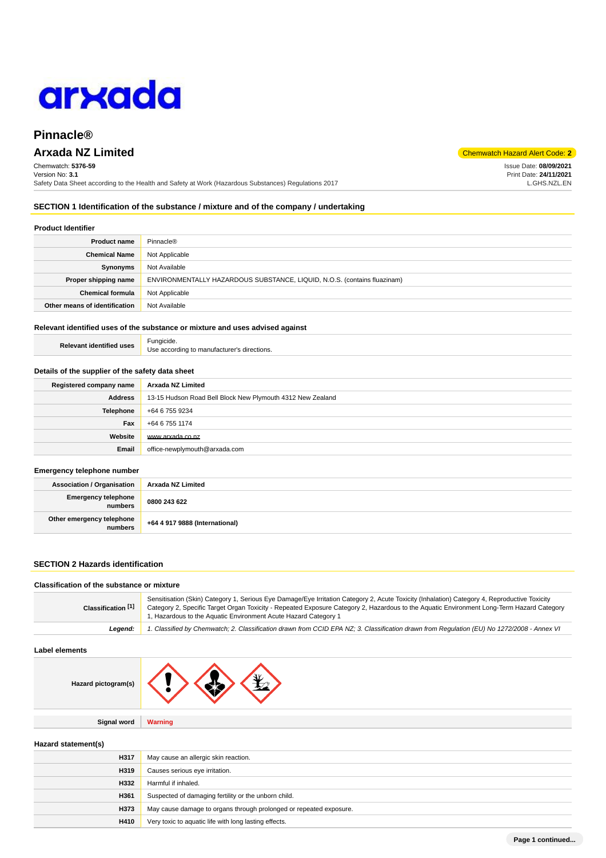

# **Pinnacle®**

# **Arxada NZ Limited** Chemwatch Hazard Alert Code: **2**

Chemwatch: **5376-59** Version No: **3.1** Safety Data Sheet according to the Health and Safety at Work (Hazardous Substances) Regulations 2017

**SECTION 1 Identification of the substance / mixture and of the company / undertaking**

# **Product Identifier**

| <b>Product name</b>           | Pinnacle®                                                                |
|-------------------------------|--------------------------------------------------------------------------|
| <b>Chemical Name</b>          | Not Applicable                                                           |
| Synonyms                      | Not Available                                                            |
| Proper shipping name          | ENVIRONMENTALLY HAZARDOUS SUBSTANCE, LIQUID, N.O.S. (contains fluazinam) |
| <b>Chemical formula</b>       | Not Applicable                                                           |
| Other means of identification | Not Available                                                            |

# **Relevant identified uses of the substance or mixture and uses advised against**

| <b>Relevant identified uses</b> | Fungicide.                                  |
|---------------------------------|---------------------------------------------|
|                                 | Use according to manufacturer's directions. |

### **Details of the supplier of the safety data sheet**

| Registered company name | Arxada NZ Limited                                          |
|-------------------------|------------------------------------------------------------|
| <b>Address</b>          | 13-15 Hudson Road Bell Block New Plymouth 4312 New Zealand |
| <b>Telephone</b>        | +64 6 755 9234                                             |
| Fax                     | +64 6 755 1174                                             |
| Website                 | www.arxada.co.nz                                           |
| Email                   | office-newplymouth@arxada.com                              |

### **Emergency telephone number**

| <b>Association / Organisation</b>    | Arxada NZ Limited              |
|--------------------------------------|--------------------------------|
| Emergency telephone<br>numbers       | 0800 243 622                   |
| Other emergency telephone<br>numbers | +64 4 917 9888 (International) |

# **SECTION 2 Hazards identification**

# **Classification of the substance or mixture**

| Classification [1] | Sensitisation (Skin) Category 1, Serious Eye Damage/Eye Irritation Category 2, Acute Toxicity (Inhalation) Category 4, Reproductive Toxicity<br>Category 2, Specific Target Organ Toxicity - Repeated Exposure Category 2, Hazardous to the Aquatic Environment Long-Term Hazard Category<br>1, Hazardous to the Aquatic Environment Acute Hazard Category 1 |
|--------------------|--------------------------------------------------------------------------------------------------------------------------------------------------------------------------------------------------------------------------------------------------------------------------------------------------------------------------------------------------------------|
| Leaend:            | 1. Classified by Chemwatch; 2. Classification drawn from CCID EPA NZ; 3. Classification drawn from Requlation (EU) No 1272/2008 - Annex VI                                                                                                                                                                                                                   |

### **Label elements**

| Hazard pictogram(s) |  |  |  |
|---------------------|--|--|--|
|---------------------|--|--|--|

**Signal word Warning**

**Hazard statement(s)**

| H317 | May cause an allergic skin reaction.                               |
|------|--------------------------------------------------------------------|
| H319 | Causes serious eye irritation.                                     |
| H332 | Harmful if inhaled.                                                |
| H361 | Suspected of damaging fertility or the unborn child.               |
| H373 | May cause damage to organs through prolonged or repeated exposure. |
| H410 | Very toxic to aquatic life with long lasting effects.              |

Issue Date: **08/09/2021** Print Date: **24/11/2021** L.GHS.NZL.EN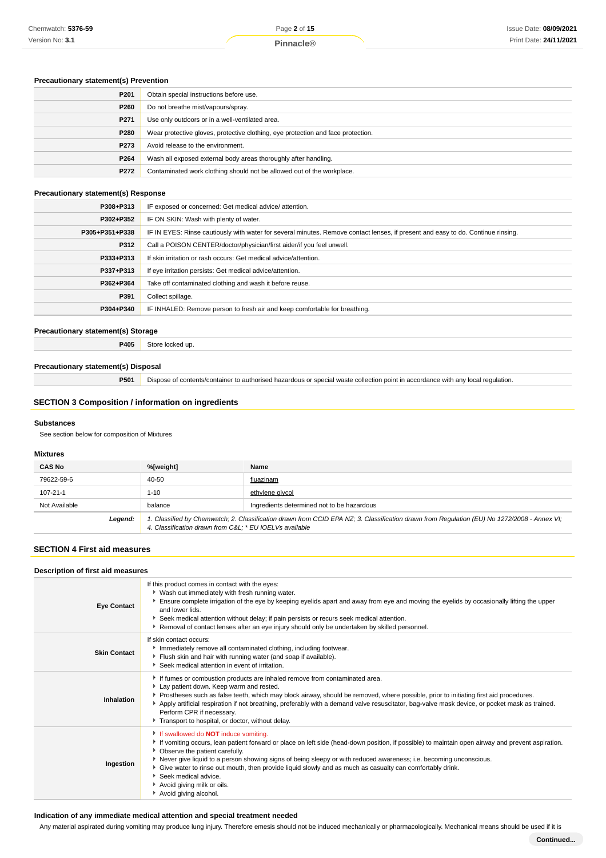# **Precautionary statement(s) Prevention**

| P <sub>201</sub> | Obtain special instructions before use.                                          |  |
|------------------|----------------------------------------------------------------------------------|--|
| P260             | Do not breathe mist/vapours/spray.                                               |  |
| P <sub>271</sub> | Use only outdoors or in a well-ventilated area.                                  |  |
| P280             | Wear protective gloves, protective clothing, eye protection and face protection. |  |
| P273             | Avoid release to the environment.                                                |  |
| P264             | Wash all exposed external body areas thoroughly after handling.                  |  |
| P272             | Contaminated work clothing should not be allowed out of the workplace.           |  |

# **Precautionary statement(s) Response**

| P308+P313      | IF exposed or concerned: Get medical advice/attention.                                                                           |
|----------------|----------------------------------------------------------------------------------------------------------------------------------|
| P302+P352      | IF ON SKIN: Wash with plenty of water.                                                                                           |
| P305+P351+P338 | IF IN EYES: Rinse cautiously with water for several minutes. Remove contact lenses, if present and easy to do. Continue rinsing. |
| P312           | Call a POISON CENTER/doctor/physician/first aider/if you feel unwell.                                                            |
| P333+P313      | If skin irritation or rash occurs: Get medical advice/attention.                                                                 |
| P337+P313      | If eye irritation persists: Get medical advice/attention.                                                                        |
| P362+P364      | Take off contaminated clothing and wash it before reuse.                                                                         |
| P391           | Collect spillage.                                                                                                                |
| P304+P340      | IF INHALED: Remove person to fresh air and keep comfortable for breathing.                                                       |

# **Precautionary statement(s) Storage**

**P405** Store locked up.

# **Precautionary statement(s) Disposal**

**P501** Dispose of contents/container to authorised hazardous or special waste collection point in accordance with any local regulation.

# **SECTION 3 Composition / information on ingredients**

### **Substances**

See section below for composition of Mixtures

# **Mixtures**

| <b>CAS No</b> | %[weight]                                                                                                                                                                                              | Name                                       |
|---------------|--------------------------------------------------------------------------------------------------------------------------------------------------------------------------------------------------------|--------------------------------------------|
| 79622-59-6    | 40-50                                                                                                                                                                                                  | fluazinam                                  |
| 107-21-1      | 1-10                                                                                                                                                                                                   | ethylene glycol                            |
| Not Available | balance                                                                                                                                                                                                | Ingredients determined not to be hazardous |
| Legend:       | 1. Classified by Chemwatch; 2. Classification drawn from CCID EPA NZ; 3. Classification drawn from Regulation (EU) No 1272/2008 - Annex VI;<br>4. Classification drawn from C&L * EU IOEL Vs available |                                            |

# **SECTION 4 First aid measures**

| Description of first aid measures |                                                                                                                                                                                                                                                                                                                                                                                                                                                                                                                                                       |  |  |
|-----------------------------------|-------------------------------------------------------------------------------------------------------------------------------------------------------------------------------------------------------------------------------------------------------------------------------------------------------------------------------------------------------------------------------------------------------------------------------------------------------------------------------------------------------------------------------------------------------|--|--|
| <b>Eye Contact</b>                | If this product comes in contact with the eyes:<br>▶ Wash out immediately with fresh running water.<br>Ensure complete irrigation of the eye by keeping eyelids apart and away from eye and moving the eyelids by occasionally lifting the upper<br>and lower lids.<br>▶ Seek medical attention without delay; if pain persists or recurs seek medical attention.<br>Removal of contact lenses after an eye injury should only be undertaken by skilled personnel.                                                                                    |  |  |
| <b>Skin Contact</b>               | If skin contact occurs:<br>Immediately remove all contaminated clothing, including footwear.<br>Flush skin and hair with running water (and soap if available).<br>Seek medical attention in event of irritation.                                                                                                                                                                                                                                                                                                                                     |  |  |
| Inhalation                        | If fumes or combustion products are inhaled remove from contaminated area.<br>Lay patient down. Keep warm and rested.<br>Prostheses such as false teeth, which may block airway, should be removed, where possible, prior to initiating first aid procedures.<br>Apply artificial respiration if not breathing, preferably with a demand valve resuscitator, bag-valve mask device, or pocket mask as trained.<br>Perform CPR if necessary.<br>Transport to hospital, or doctor, without delay.                                                       |  |  |
| Ingestion                         | If swallowed do <b>NOT</b> induce vomiting.<br>If vomiting occurs, lean patient forward or place on left side (head-down position, if possible) to maintain open airway and prevent aspiration.<br>• Observe the patient carefully.<br>▶ Never give liquid to a person showing signs of being sleepy or with reduced awareness; i.e. becoming unconscious.<br>Give water to rinse out mouth, then provide liquid slowly and as much as casualty can comfortably drink.<br>Seek medical advice.<br>Avoid giving milk or oils.<br>Avoid giving alcohol. |  |  |

# **Indication of any immediate medical attention and special treatment needed**

Any material aspirated during vomiting may produce lung injury. Therefore emesis should not be induced mechanically or pharmacologically. Mechanical means should be used if it is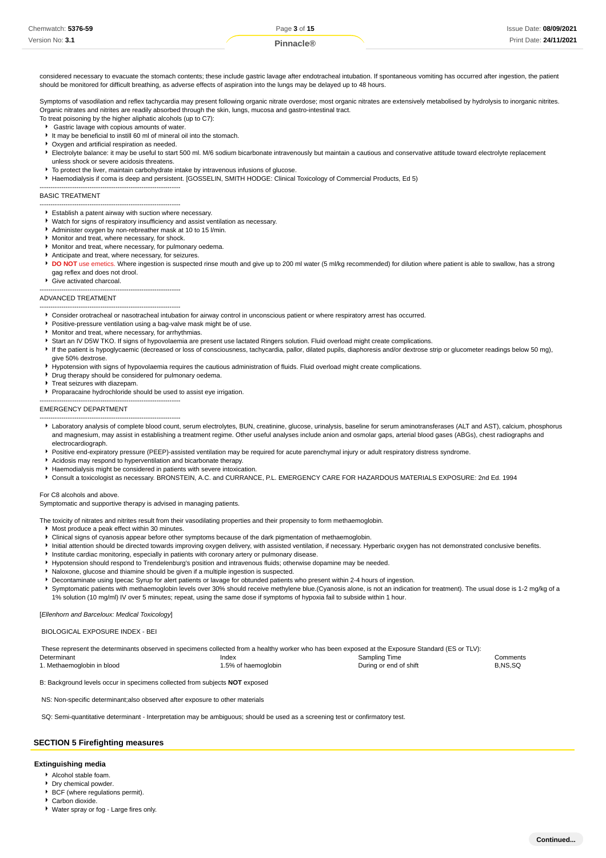| Chemwatch: 5376-59 | Page 3 of 15 | Issue Date: 08/09/2021 |
|--------------------|--------------|------------------------|
| Version No: 3.1    |              | Print Date: 24/11/2021 |

considered necessary to evacuate the stomach contents; these include gastric lavage after endotracheal intubation. If spontaneous vomiting has occurred after ingestion, the patient should be monitored for difficult breathing, as adverse effects of aspiration into the lungs may be delayed up to 48 hours.

Symptoms of vasodilation and reflex tachycardia may present following organic nitrate overdose; most organic nitrates are extensively metabolised by hydrolysis to inorganic nitrites. Organic nitrates and nitrites are readily absorbed through the skin, lungs, mucosa and gastro-intestinal tract.

- To treat poisoning by the higher aliphatic alcohols (up to C7):
- Gastric lavage with copious amounts of water.
- It may be beneficial to instill 60 ml of mineral oil into the stomach.
- ▶ Oxygen and artificial respiration as needed.
- Electrolyte balance: it may be useful to start 500 ml. M/6 sodium bicarbonate intravenously but maintain a cautious and conservative attitude toward electrolyte replacement unless shock or severe acidosis threatens.
- $\blacktriangleright$  To protect the liver, maintain carbohydrate intake by intravenous infusions of glucose.
- Haemodialysis if coma is deep and persistent. [GOSSELIN, SMITH HODGE: Clinical Toxicology of Commercial Products, Ed 5)

#### ----------------------------------------------------------------- BASIC TREATMENT

- ----------------------------------------------------------------- Establish a patent airway with suction where necessary.
- Watch for signs of respiratory insufficiency and assist ventilation as necessary.
- Administer oxygen by non-rebreather mask at 10 to 15 l/min.
- **Monitor and treat, where necessary, for shock.**

-----------------------------------------------------------------

-----------------------------------------------------------------

- Monitor and treat, where necessary, for pulmonary oedema.
- Anticipate and treat, where necessary, for seizures.
- DO NOT use emetics. Where ingestion is suspected rinse mouth and give up to 200 ml water (5 ml/kg recommended) for dilution where patient is able to swallow, has a strong gag reflex and does not drool.
- Give activated charcoal.

#### ADVANCED TREATMENT

- -----------------------------------------------------------------
- Consider orotracheal or nasotracheal intubation for airway control in unconscious patient or where respiratory arrest has occurred.
- Positive-pressure ventilation using a bag-valve mask might be of use.
- Monitor and treat, where necessary, for arrhythmias.
- Start an IV D5W TKO. If signs of hypovolaemia are present use lactated Ringers solution. Fluid overload might create complications.
- If the patient is hypoglycaemic (decreased or loss of consciousness, tachycardia, pallor, dilated pupils, diaphoresis and/or dextrose strip or glucometer readings below 50 mg),
- give 50% dextrose.
- Hypotension with signs of hypovolaemia requires the cautious administration of fluids. Fluid overload might create complications.
- ▶ Drug therapy should be considered for pulmonary oedema.
- Treat seizures with diazepam.
- **Proparacaine hydrochloride should be used to assist eye irrigation**

#### EMERGENCY DEPARTMENT

- ----------------------------------------------------------------- Laboratory analysis of complete blood count, serum electrolytes, BUN, creatinine, glucose, urinalysis, baseline for serum aminotransferases (ALT and AST), calcium, phosphorus and magnesium, may assist in establishing a treatment regime. Other useful analyses include anion and osmolar gaps, arterial blood gases (ABGs), chest radiographs and electrocardiograph.
- Positive end-expiratory pressure (PEEP)-assisted ventilation may be required for acute parenchymal injury or adult respiratory distress syndrome.
- Acidosis may respond to hyperventilation and bicarbonate therapy.
- Haemodialysis might be considered in patients with severe intoxication.
- Consult a toxicologist as necessary. BRONSTEIN, A.C. and CURRANCE, P.L. EMERGENCY CARE FOR HAZARDOUS MATERIALS EXPOSURE: 2nd Ed. 1994

### For C8 alcohols and above.

Symptomatic and supportive therapy is advised in managing patients.

- The toxicity of nitrates and nitrites result from their vasodilating properties and their propensity to form methaemoglobin.
- Most produce a peak effect within 30 minutes.
- Clinical signs of cyanosis appear before other symptoms because of the dark pigmentation of methaemoglobin.
- Initial attention should be directed towards improving oxygen delivery, with assisted ventilation, if necessary. Hyperbaric oxygen has not demonstrated conclusive benefits.
- **Institute cardiac monitoring, especially in patients with coronary artery or pulmonary disease.**
- Hypotension should respond to Trendelenburg's position and intravenous fluids; otherwise dopamine may be needed.
- Naloxone, glucose and thiamine should be given if a multiple ingestion is suspected.
- Decontaminate using Ipecac Syrup for alert patients or lavage for obtunded patients who present within 2-4 hours of ingestion.
- Symptomatic patients with methaemoglobin levels over 30% should receive methylene blue.(Cyanosis alone, is not an indication for treatment). The usual dose is 1-2 mg/kg of a 1% solution (10 mg/ml) IV over 5 minutes; repeat, using the same dose if symptoms of hypoxia fail to subside within 1 hour.

#### [Ellenhorn and Barceloux: Medical Toxicology]

BIOLOGICAL EXPOSURE INDEX - BEI

| These represent the determinants observed in specimens collected from a healthy worker who has been exposed at the Exposure Standard (ES or TLV): |                     |                        |          |  |
|---------------------------------------------------------------------------------------------------------------------------------------------------|---------------------|------------------------|----------|--|
| Determinant                                                                                                                                       | Index               | Sampling Time          | Comments |  |
| 1. Methaemoglobin in blood                                                                                                                        | 1.5% of haemoglobin | During or end of shift | B.NS.SQ  |  |

B: Background levels occur in specimens collected from subjects **NOT** exposed

NS: Non-specific determinant;also observed after exposure to other materials

SQ: Semi-quantitative determinant - Interpretation may be ambiguous; should be used as a screening test or confirmatory test.

#### **SECTION 5 Firefighting measures**

### **Extinguishing media**

- Alcohol stable foam.
- Dry chemical powder.
- **BCF** (where regulations permit).
- Carbon dioxide.
- Water spray or fog Large fires only.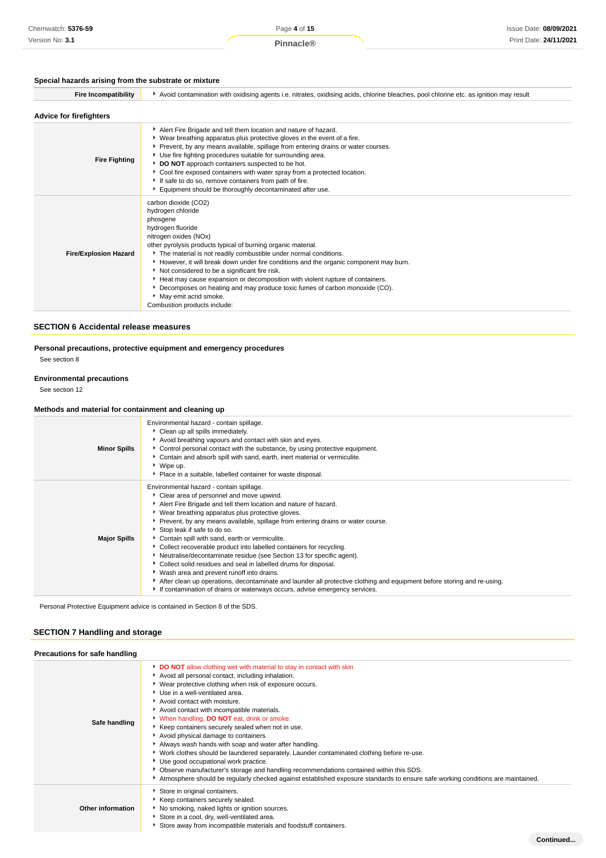# **Special hazards arising from the substrate or mixture**

| <b>Fire Incompatibility</b>    | Avoid contamination with oxidising agents i.e. nitrates, oxidising acids, chlorine bleaches, pool chlorine etc. as ignition may result                                                                                                                                                                                                                                                                                                                                                                                                                                                                     |  |  |
|--------------------------------|------------------------------------------------------------------------------------------------------------------------------------------------------------------------------------------------------------------------------------------------------------------------------------------------------------------------------------------------------------------------------------------------------------------------------------------------------------------------------------------------------------------------------------------------------------------------------------------------------------|--|--|
| <b>Advice for firefighters</b> |                                                                                                                                                                                                                                                                                                                                                                                                                                                                                                                                                                                                            |  |  |
| <b>Fire Fighting</b>           | Alert Fire Brigade and tell them location and nature of hazard.<br>▶ Wear breathing apparatus plus protective gloves in the event of a fire.<br>Prevent, by any means available, spillage from entering drains or water courses.<br>▶ Use fire fighting procedures suitable for surrounding area.<br>DO NOT approach containers suspected to be hot.<br>Cool fire exposed containers with water spray from a protected location.<br>If safe to do so, remove containers from path of fire.<br>Equipment should be thoroughly decontaminated after use.                                                     |  |  |
| <b>Fire/Explosion Hazard</b>   | carbon dioxide (CO2)<br>hydrogen chloride<br>phosgene<br>hydrogen fluoride<br>nitrogen oxides (NOx)<br>other pyrolysis products typical of burning organic material.<br>The material is not readily combustible under normal conditions.<br>However, it will break down under fire conditions and the organic component may burn.<br>Not considered to be a significant fire risk.<br>Heat may cause expansion or decomposition with violent rupture of containers.<br>Decomposes on heating and may produce toxic fumes of carbon monoxide (CO).<br>May emit acrid smoke.<br>Combustion products include: |  |  |

# **SECTION 6 Accidental release measures**

# **Personal precautions, protective equipment and emergency procedures**

See section 8

# **Environmental precautions**

See section 12

# **Methods and material for containment and cleaning up**

| <b>Minor Spills</b> | Environmental hazard - contain spillage.<br>Clean up all spills immediately.<br>Avoid breathing vapours and contact with skin and eyes.<br>Control personal contact with the substance, by using protective equipment.<br>Contain and absorb spill with sand, earth, inert material or vermiculite.<br>▶ Wipe up.<br>Place in a suitable, labelled container for waste disposal.                                                                                                                                                                                                                                                                                                                                                                                                                                                                                 |
|---------------------|------------------------------------------------------------------------------------------------------------------------------------------------------------------------------------------------------------------------------------------------------------------------------------------------------------------------------------------------------------------------------------------------------------------------------------------------------------------------------------------------------------------------------------------------------------------------------------------------------------------------------------------------------------------------------------------------------------------------------------------------------------------------------------------------------------------------------------------------------------------|
| <b>Major Spills</b> | Environmental hazard - contain spillage.<br>Clear area of personnel and move upwind.<br>Alert Fire Brigade and tell them location and nature of hazard.<br>▶ Wear breathing apparatus plus protective gloves.<br>▶ Prevent, by any means available, spillage from entering drains or water course.<br>Stop leak if safe to do so.<br>Contain spill with sand, earth or vermiculite.<br>▶ Collect recoverable product into labelled containers for recycling.<br>Neutralise/decontaminate residue (see Section 13 for specific agent).<br>Collect solid residues and seal in labelled drums for disposal.<br>• Wash area and prevent runoff into drains.<br>After clean up operations, decontaminate and launder all protective clothing and equipment before storing and re-using.<br>If contamination of drains or waterways occurs, advise emergency services. |

Personal Protective Equipment advice is contained in Section 8 of the SDS.

# **SECTION 7 Handling and storage**

| <b>Precautions for safe handling</b> |                                                                                                                                                                                                                                                                                                                                                                                                                                                                                                                                                                                                                                                                                                                                                                                                                                                                                   |
|--------------------------------------|-----------------------------------------------------------------------------------------------------------------------------------------------------------------------------------------------------------------------------------------------------------------------------------------------------------------------------------------------------------------------------------------------------------------------------------------------------------------------------------------------------------------------------------------------------------------------------------------------------------------------------------------------------------------------------------------------------------------------------------------------------------------------------------------------------------------------------------------------------------------------------------|
| Safe handling                        | DO NOT allow clothing wet with material to stay in contact with skin<br>Avoid all personal contact, including inhalation.<br>Wear protective clothing when risk of exposure occurs.<br>Use in a well-ventilated area.<br>Avoid contact with moisture.<br>Avoid contact with incompatible materials.<br>V When handling, <b>DO NOT</b> eat, drink or smoke.<br>Keep containers securely sealed when not in use.<br>Avoid physical damage to containers.<br>Always wash hands with soap and water after handling.<br>Work clothes should be laundered separately. Launder contaminated clothing before re-use.<br>Use good occupational work practice.<br>Observe manufacturer's storage and handling recommendations contained within this SDS.<br>Atmosphere should be regularly checked against established exposure standards to ensure safe working conditions are maintained. |
| Other information                    | Store in original containers.<br>Keep containers securely sealed.<br>No smoking, naked lights or ignition sources.<br>Store in a cool, dry, well-ventilated area.<br>Store away from incompatible materials and foodstuff containers.                                                                                                                                                                                                                                                                                                                                                                                                                                                                                                                                                                                                                                             |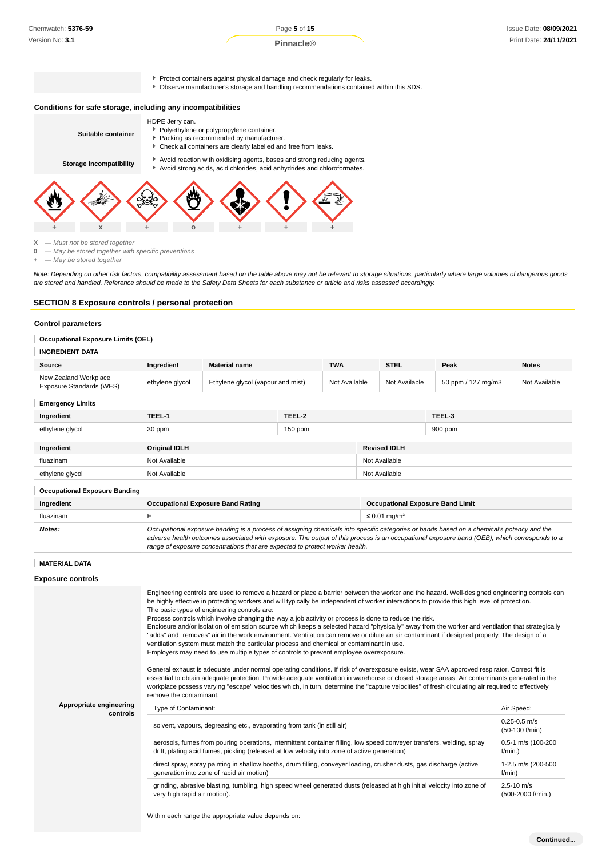Page **5** of **15**

**Pinnacle®**

**Protect containers against physical damage and check regularly for leaks.**<br>Pobserve manufacturer's storage and handling recommendations containe

| Observe manufacturer's storage and handling recommendations contained within this SDS. |  |
|----------------------------------------------------------------------------------------|--|
|----------------------------------------------------------------------------------------|--|

# **Conditions for safe storage, including any incompatibilities**

| Suitable container      | HDPE Jerry can.<br>Polyethylene or polypropylene container.<br>Packing as recommended by manufacturer.<br>Check all containers are clearly labelled and free from leaks. |
|-------------------------|--------------------------------------------------------------------------------------------------------------------------------------------------------------------------|
| Storage incompatibility | Avoid reaction with oxidising agents, bases and strong reducing agents.<br>Avoid strong acids, acid chlorides, acid anhydrides and chloroformates.                       |
|                         |                                                                                                                                                                          |

**X** — Must not be stored together<br>**0** — May be stored together with **0** — May be stored together with specific preventions

**+** — May be stored together

Note: Depending on other risk factors, compatibility assessment based on the table above may not be relevant to storage situations, particularly where large volumes of dangerous goods are stored and handled. Reference should be made to the Safety Data Sheets for each substance or article and risks assessed accordingly.

### **SECTION 8 Exposure controls / personal protection**

#### **Control parameters**

# **Occupational Exposure Limits (OEL)**

# **INGREDIENT DATA**

| Source                                            | <b>Ingredient</b> | <b>Material name</b>              | <b>TWA</b>    | <b>STEL</b>   | Peak               | <b>Notes</b>  |
|---------------------------------------------------|-------------------|-----------------------------------|---------------|---------------|--------------------|---------------|
| New Zealand Workplace<br>Exposure Standards (WES) | ethylene glycol   | Ethylene glycol (vapour and mist) | Not Available | Not Available | 50 ppm / 127 mg/m3 | Not Available |

### **Emergency Limits**

| Ingredient      | TEEL-1               | TEEL-2    |                     | TEEL-3  |
|-----------------|----------------------|-----------|---------------------|---------|
| ethylene glycol | 30 ppm               | $150$ ppm |                     | 900 ppm |
|                 |                      |           |                     |         |
| Ingredient      | <b>Original IDLH</b> |           | <b>Revised IDLH</b> |         |
| fluazinam       | Not Available        |           | Not Available       |         |
| ethylene glycol | Not Available        |           | Not Available       |         |
|                 |                      |           |                     |         |

### **Occupational Exposure Banding**

| Ingredient | <b>Occupational Exposure Band Rating</b>                                                                                                                                                                                                                                                                                                                                 | <b>Occupational Exposure Band Limit</b> |  |
|------------|--------------------------------------------------------------------------------------------------------------------------------------------------------------------------------------------------------------------------------------------------------------------------------------------------------------------------------------------------------------------------|-----------------------------------------|--|
| fluazinam  |                                                                                                                                                                                                                                                                                                                                                                          | $\leq 0.01$ ma/m <sup>3</sup>           |  |
| Notes:     | Occupational exposure banding is a process of assigning chemicals into specific categories or bands based on a chemical's potency and the<br>adverse health outcomes associated with exposure. The output of this process is an occupational exposure band (OEB), which corresponds to a<br>range of exposure concentrations that are expected to protect worker health. |                                         |  |

### **MATERIAL DATA**

**Exposure controls**

|                         | Engineering controls are used to remove a hazard or place a barrier between the worker and the hazard. Well-designed engineering controls can<br>be highly effective in protecting workers and will typically be independent of worker interactions to provide this high level of protection.<br>The basic types of engineering controls are:<br>Process controls which involve changing the way a job activity or process is done to reduce the risk.<br>Enclosure and/or isolation of emission source which keeps a selected hazard "physically" away from the worker and ventilation that strategically<br>"adds" and "removes" air in the work environment. Ventilation can remove or dilute an air contaminant if designed properly. The design of a<br>ventilation system must match the particular process and chemical or contaminant in use.<br>Employers may need to use multiple types of controls to prevent employee overexposure. |                                     |
|-------------------------|-------------------------------------------------------------------------------------------------------------------------------------------------------------------------------------------------------------------------------------------------------------------------------------------------------------------------------------------------------------------------------------------------------------------------------------------------------------------------------------------------------------------------------------------------------------------------------------------------------------------------------------------------------------------------------------------------------------------------------------------------------------------------------------------------------------------------------------------------------------------------------------------------------------------------------------------------|-------------------------------------|
| Appropriate engineering | General exhaust is adequate under normal operating conditions. If risk of overexposure exists, wear SAA approved respirator. Correct fit is<br>essential to obtain adequate protection. Provide adequate ventilation in warehouse or closed storage areas. Air contaminants generated in the<br>workplace possess varying "escape" velocities which, in turn, determine the "capture velocities" of fresh circulating air required to effectively<br>remove the contaminant.<br>Type of Contaminant:                                                                                                                                                                                                                                                                                                                                                                                                                                            | Air Speed:                          |
| controls                | solvent, vapours, degreasing etc., evaporating from tank (in still air)                                                                                                                                                                                                                                                                                                                                                                                                                                                                                                                                                                                                                                                                                                                                                                                                                                                                         | $0.25 - 0.5$ m/s<br>(50-100 f/min)  |
|                         | aerosols, fumes from pouring operations, intermittent container filling, low speed conveyer transfers, welding, spray<br>drift, plating acid fumes, pickling (released at low velocity into zone of active generation)                                                                                                                                                                                                                                                                                                                                                                                                                                                                                                                                                                                                                                                                                                                          | 0.5-1 m/s (100-200<br>$f/min.$ )    |
|                         | direct spray, spray painting in shallow booths, drum filling, conveyer loading, crusher dusts, gas discharge (active<br>generation into zone of rapid air motion)                                                                                                                                                                                                                                                                                                                                                                                                                                                                                                                                                                                                                                                                                                                                                                               | 1-2.5 m/s (200-500<br>f/min)        |
|                         | grinding, abrasive blasting, tumbling, high speed wheel generated dusts (released at high initial velocity into zone of<br>very high rapid air motion).                                                                                                                                                                                                                                                                                                                                                                                                                                                                                                                                                                                                                                                                                                                                                                                         | $2.5 - 10$ m/s<br>(500-2000 f/min.) |
|                         | Within each range the appropriate value depends on:                                                                                                                                                                                                                                                                                                                                                                                                                                                                                                                                                                                                                                                                                                                                                                                                                                                                                             |                                     |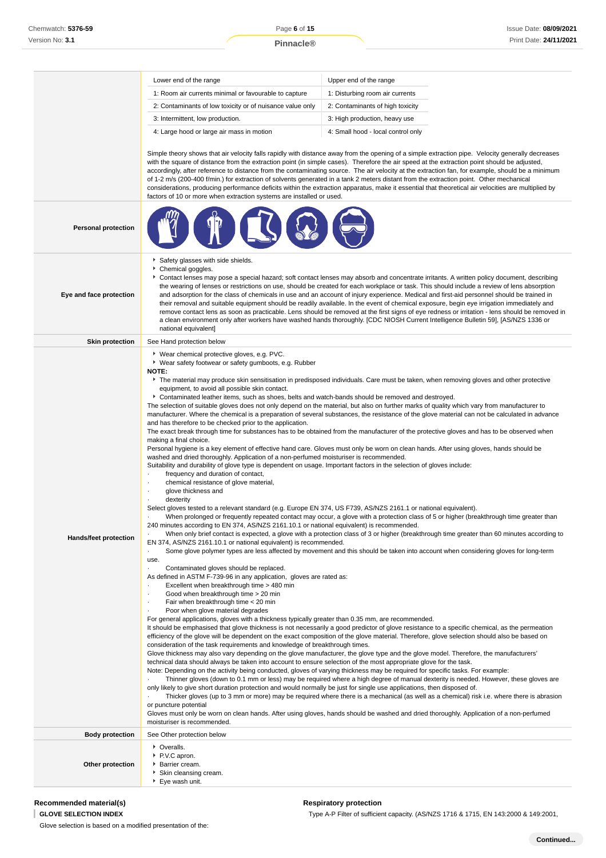Lower end of the range Upper end of the range 1: Room air currents minimal or favourable to capture 1: Disturbing room air currents

|                              | 2: Contaminants of low toxicity or of nuisance value only                                                                                                                                                                                                                                                                                                                                                                                                                                                                                                                                                                                                                                                                                                                                                                                                                                                                                                                                                                                                                                                                                                                                                                                                                                                                                                                                                                                                                                                                                                                                                                                                                                                                                                             | 2: Contaminants of high toxicity                                                                                                                                                                                                                                                                                                                                                                                                                                                                                                                                                                                                                                                                                                                                                                                                                                                                                                                                                                                                                                                                                                                                                                                                                                                                                                                                                                                                                                                                                                                                                                                                                                                                                                                                                                                                                                                 |  |
|------------------------------|-----------------------------------------------------------------------------------------------------------------------------------------------------------------------------------------------------------------------------------------------------------------------------------------------------------------------------------------------------------------------------------------------------------------------------------------------------------------------------------------------------------------------------------------------------------------------------------------------------------------------------------------------------------------------------------------------------------------------------------------------------------------------------------------------------------------------------------------------------------------------------------------------------------------------------------------------------------------------------------------------------------------------------------------------------------------------------------------------------------------------------------------------------------------------------------------------------------------------------------------------------------------------------------------------------------------------------------------------------------------------------------------------------------------------------------------------------------------------------------------------------------------------------------------------------------------------------------------------------------------------------------------------------------------------------------------------------------------------------------------------------------------------|----------------------------------------------------------------------------------------------------------------------------------------------------------------------------------------------------------------------------------------------------------------------------------------------------------------------------------------------------------------------------------------------------------------------------------------------------------------------------------------------------------------------------------------------------------------------------------------------------------------------------------------------------------------------------------------------------------------------------------------------------------------------------------------------------------------------------------------------------------------------------------------------------------------------------------------------------------------------------------------------------------------------------------------------------------------------------------------------------------------------------------------------------------------------------------------------------------------------------------------------------------------------------------------------------------------------------------------------------------------------------------------------------------------------------------------------------------------------------------------------------------------------------------------------------------------------------------------------------------------------------------------------------------------------------------------------------------------------------------------------------------------------------------------------------------------------------------------------------------------------------------|--|
|                              | 3: Intermittent, low production.                                                                                                                                                                                                                                                                                                                                                                                                                                                                                                                                                                                                                                                                                                                                                                                                                                                                                                                                                                                                                                                                                                                                                                                                                                                                                                                                                                                                                                                                                                                                                                                                                                                                                                                                      | 3: High production, heavy use                                                                                                                                                                                                                                                                                                                                                                                                                                                                                                                                                                                                                                                                                                                                                                                                                                                                                                                                                                                                                                                                                                                                                                                                                                                                                                                                                                                                                                                                                                                                                                                                                                                                                                                                                                                                                                                    |  |
|                              | 4: Large hood or large air mass in motion                                                                                                                                                                                                                                                                                                                                                                                                                                                                                                                                                                                                                                                                                                                                                                                                                                                                                                                                                                                                                                                                                                                                                                                                                                                                                                                                                                                                                                                                                                                                                                                                                                                                                                                             | 4: Small hood - local control only                                                                                                                                                                                                                                                                                                                                                                                                                                                                                                                                                                                                                                                                                                                                                                                                                                                                                                                                                                                                                                                                                                                                                                                                                                                                                                                                                                                                                                                                                                                                                                                                                                                                                                                                                                                                                                               |  |
|                              | factors of 10 or more when extraction systems are installed or used.                                                                                                                                                                                                                                                                                                                                                                                                                                                                                                                                                                                                                                                                                                                                                                                                                                                                                                                                                                                                                                                                                                                                                                                                                                                                                                                                                                                                                                                                                                                                                                                                                                                                                                  | Simple theory shows that air velocity falls rapidly with distance away from the opening of a simple extraction pipe. Velocity generally decreases<br>with the square of distance from the extraction point (in simple cases). Therefore the air speed at the extraction point should be adjusted,<br>accordingly, after reference to distance from the contaminating source. The air velocity at the extraction fan, for example, should be a minimum<br>of 1-2 m/s (200-400 f/min.) for extraction of solvents generated in a tank 2 meters distant from the extraction point. Other mechanical<br>considerations, producing performance deficits within the extraction apparatus, make it essential that theoretical air velocities are multiplied by                                                                                                                                                                                                                                                                                                                                                                                                                                                                                                                                                                                                                                                                                                                                                                                                                                                                                                                                                                                                                                                                                                                          |  |
| <b>Personal protection</b>   |                                                                                                                                                                                                                                                                                                                                                                                                                                                                                                                                                                                                                                                                                                                                                                                                                                                                                                                                                                                                                                                                                                                                                                                                                                                                                                                                                                                                                                                                                                                                                                                                                                                                                                                                                                       |                                                                                                                                                                                                                                                                                                                                                                                                                                                                                                                                                                                                                                                                                                                                                                                                                                                                                                                                                                                                                                                                                                                                                                                                                                                                                                                                                                                                                                                                                                                                                                                                                                                                                                                                                                                                                                                                                  |  |
| Eye and face protection      | Safety glasses with side shields.<br>Chemical goggles.<br>national equivalent]                                                                                                                                                                                                                                                                                                                                                                                                                                                                                                                                                                                                                                                                                                                                                                                                                                                                                                                                                                                                                                                                                                                                                                                                                                                                                                                                                                                                                                                                                                                                                                                                                                                                                        | Contact lenses may pose a special hazard; soft contact lenses may absorb and concentrate irritants. A written policy document, describing<br>the wearing of lenses or restrictions on use, should be created for each workplace or task. This should include a review of lens absorption<br>and adsorption for the class of chemicals in use and an account of injury experience. Medical and first-aid personnel should be trained in<br>their removal and suitable equipment should be readily available. In the event of chemical exposure, begin eye irrigation immediately and<br>remove contact lens as soon as practicable. Lens should be removed at the first signs of eye redness or irritation - lens should be removed in<br>a clean environment only after workers have washed hands thoroughly. [CDC NIOSH Current Intelligence Bulletin 59], [AS/NZS 1336 or                                                                                                                                                                                                                                                                                                                                                                                                                                                                                                                                                                                                                                                                                                                                                                                                                                                                                                                                                                                                      |  |
| <b>Skin protection</b>       | See Hand protection below                                                                                                                                                                                                                                                                                                                                                                                                                                                                                                                                                                                                                                                                                                                                                                                                                                                                                                                                                                                                                                                                                                                                                                                                                                                                                                                                                                                                                                                                                                                                                                                                                                                                                                                                             |                                                                                                                                                                                                                                                                                                                                                                                                                                                                                                                                                                                                                                                                                                                                                                                                                                                                                                                                                                                                                                                                                                                                                                                                                                                                                                                                                                                                                                                                                                                                                                                                                                                                                                                                                                                                                                                                                  |  |
| <b>Hands/feet protection</b> | ▶ Wear chemical protective gloves, e.g. PVC.<br>▶ Wear safety footwear or safety gumboots, e.g. Rubber<br>NOTE:<br>equipment, to avoid all possible skin contact.<br>▶ Contaminated leather items, such as shoes, belts and watch-bands should be removed and destroyed.<br>and has therefore to be checked prior to the application.<br>making a final choice.<br>washed and dried thoroughly. Application of a non-perfumed moisturiser is recommended.<br>Suitability and durability of glove type is dependent on usage. Important factors in the selection of gloves include:<br>frequency and duration of contact,<br>chemical resistance of glove material,<br>$\cdot$<br>glove thickness and<br>٠<br>dexterity<br>Select gloves tested to a relevant standard (e.g. Europe EN 374, US F739, AS/NZS 2161.1 or national equivalent).<br>240 minutes according to EN 374, AS/NZS 2161.10.1 or national equivalent) is recommended.<br>EN 374, AS/NZS 2161.10.1 or national equivalent) is recommended.<br>use.<br>Contaminated gloves should be replaced.<br>$\cdot$<br>As defined in ASTM F-739-96 in any application, gloves are rated as:<br>Excellent when breakthrough time > 480 min<br>Good when breakthrough time > 20 min<br>Fair when breakthrough time < 20 min<br>$\cdot$<br>Poor when glove material degrades<br>For general applications, gloves with a thickness typically greater than 0.35 mm, are recommended.<br>consideration of the task requirements and knowledge of breakthrough times.<br>technical data should always be taken into account to ensure selection of the most appropriate glove for the task.<br>only likely to give short duration protection and would normally be just for single use applications, then disposed of. | The material may produce skin sensitisation in predisposed individuals. Care must be taken, when removing gloves and other protective<br>The selection of suitable gloves does not only depend on the material, but also on further marks of quality which vary from manufacturer to<br>manufacturer. Where the chemical is a preparation of several substances, the resistance of the glove material can not be calculated in advance<br>The exact break through time for substances has to be obtained from the manufacturer of the protective gloves and has to be observed when<br>Personal hygiene is a key element of effective hand care. Gloves must only be worn on clean hands. After using gloves, hands should be<br>When prolonged or frequently repeated contact may occur, a glove with a protection class of 5 or higher (breakthrough time greater than<br>When only brief contact is expected, a glove with a protection class of 3 or higher (breakthrough time greater than 60 minutes according to<br>Some glove polymer types are less affected by movement and this should be taken into account when considering gloves for long-term<br>It should be emphasised that glove thickness is not necessarily a good predictor of glove resistance to a specific chemical, as the permeation<br>efficiency of the glove will be dependent on the exact composition of the glove material. Therefore, glove selection should also be based on<br>Glove thickness may also vary depending on the glove manufacturer, the glove type and the glove model. Therefore, the manufacturers'<br>Note: Depending on the activity being conducted, gloves of varying thickness may be required for specific tasks. For example:<br>Thinner gloves (down to 0.1 mm or less) may be required where a high degree of manual dexterity is needed. However, these gloves are |  |

· Thicker gloves (up to 3 mm or more) may be required where there is a mechanical (as well as a chemical) risk i.e. where there is abrasion or puncture potential

Gloves must only be worn on clean hands. After using gloves, hands should be washed and dried thoroughly. Application of a non-perfumed moisturiser is recommended.

**Body protection** See Other protection below **Other protection C**veralls. P.V.C apron. Barrier cream. Skin cleansing cream. Eye wash unit.

**Recommended material(s)**

# **GLOVE SELECTION INDEX**

Glove selection is based on a modified presentation of the:

# **Respiratory protection**

Type A-P Filter of sufficient capacity. (AS/NZS 1716 & 1715, EN 143:2000 & 149:2001,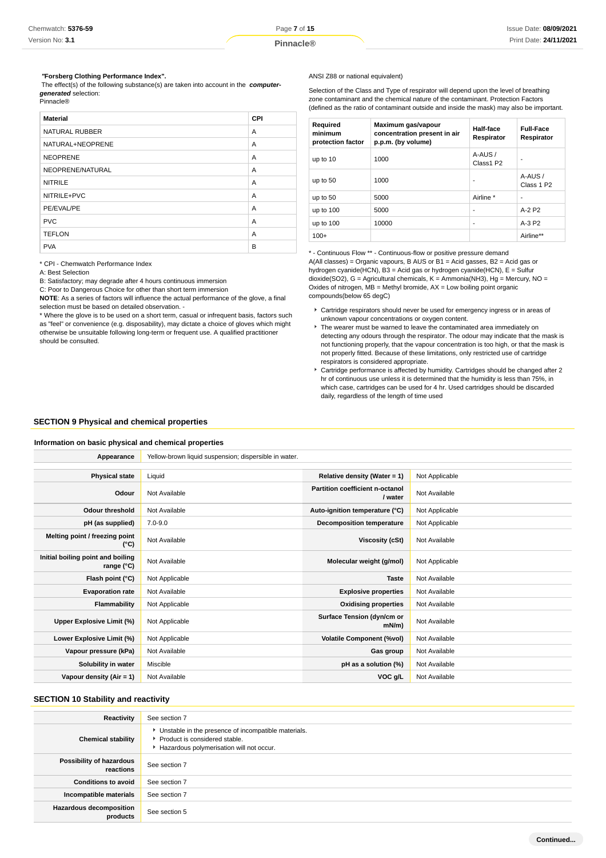### **"Forsberg Clothing Performance Index".**

 The effect(s) of the following substance(s) are taken into account in the **computergenerated** selection: Pinnacle®

| <b>Material</b>       | CPI |
|-----------------------|-----|
| <b>NATURAL RUBBER</b> | A   |
| NATURAL+NEOPRENE      | A   |
| <b>NEOPRENE</b>       | A   |
| NEOPRENE/NATURAL      | A   |
| <b>NITRILE</b>        | A   |
| NITRILE+PVC           | A   |
| PE/EVAL/PE            | A   |
| <b>PVC</b>            | A   |
| <b>TEFLON</b>         | A   |
| <b>PVA</b>            | B   |

\* CPI - Chemwatch Performance Index

A: Best Selection

B: Satisfactory; may degrade after 4 hours continuous immersion

C: Poor to Dangerous Choice for other than short term immersion

**NOTE**: As a series of factors will influence the actual performance of the glove, a final selection must be based on detailed observation. -

\* Where the glove is to be used on a short term, casual or infrequent basis, factors such as "feel" or convenience (e.g. disposability), may dictate a choice of gloves which might otherwise be unsuitable following long-term or frequent use. A qualified practitioner should be consulted.

#### ANSI Z88 or national equivalent)

Selection of the Class and Type of respirator will depend upon the level of breathing zone contaminant and the chemical nature of the contaminant. Protection Factors (defined as the ratio of contaminant outside and inside the mask) may also be important.

| Required<br>minimum<br>protection factor | Maximum gas/vapour<br>concentration present in air<br>p.p.m. (by volume) | Half-face<br>Respirator | <b>Full-Face</b><br>Respirator   |
|------------------------------------------|--------------------------------------------------------------------------|-------------------------|----------------------------------|
| up to 10                                 | 1000                                                                     | A-AUS /<br>Class1 P2    |                                  |
| up to 50                                 | 1000                                                                     | ٠                       | A-AUS/<br>Class 1 P <sub>2</sub> |
| up to 50                                 | 5000                                                                     | Airline *               |                                  |
| up to 100                                | 5000                                                                     | ٠                       | $A-2P2$                          |
| up to 100                                | 10000                                                                    | ٠                       | $A-3P2$                          |
| $100+$                                   |                                                                          |                         | Airline**                        |

\* - Continuous Flow \*\* - Continuous-flow or positive pressure demand A(All classes) = Organic vapours, B AUS or B1 = Acid gasses, B2 = Acid gas or hydrogen cyanide(HCN), B3 = Acid gas or hydrogen cyanide(HCN), E = Sulfur dioxide(SO2), G = Agricultural chemicals, K = Ammonia(NH3), Hg = Mercury, NO = Oxides of nitrogen,  $MB =$  Methyl bromide,  $AX =$  Low boiling point organic compounds(below 65 degC)

- Cartridge respirators should never be used for emergency ingress or in areas of unknown vapour concentrations or oxygen content.
- The wearer must be warned to leave the contaminated area immediately on detecting any odours through the respirator. The odour may indicate that the mask is not functioning properly, that the vapour concentration is too high, or that the mask is not properly fitted. Because of these limitations, only restricted use of cartridge respirators is considered appropriate.
- Cartridge performance is affected by humidity. Cartridges should be changed after 2 hr of continuous use unless it is determined that the humidity is less than 75%, in which case, cartridges can be used for 4 hr. Used cartridges should be discarded daily, regardless of the length of time used

# **SECTION 9 Physical and chemical properties**

### **Information on basic physical and chemical properties**

| Appearance                                      | Yellow-brown liquid suspension; dispersible in water. |                                            |                |
|-------------------------------------------------|-------------------------------------------------------|--------------------------------------------|----------------|
|                                                 |                                                       |                                            |                |
| <b>Physical state</b>                           | Liquid                                                | Relative density (Water = 1)               | Not Applicable |
| Odour                                           | Not Available                                         | Partition coefficient n-octanol<br>/ water | Not Available  |
| <b>Odour threshold</b>                          | Not Available                                         | Auto-ignition temperature (°C)             | Not Applicable |
| pH (as supplied)                                | $7.0 - 9.0$                                           | <b>Decomposition temperature</b>           | Not Applicable |
| Melting point / freezing point<br>(°C)          | Not Available                                         | Viscosity (cSt)                            | Not Available  |
| Initial boiling point and boiling<br>range (°C) | Not Available                                         | Molecular weight (g/mol)                   | Not Applicable |
| Flash point (°C)                                | Not Applicable                                        | <b>Taste</b>                               | Not Available  |
| <b>Evaporation rate</b>                         | Not Available                                         | <b>Explosive properties</b>                | Not Available  |
| Flammability                                    | Not Applicable                                        | <b>Oxidising properties</b>                | Not Available  |
| Upper Explosive Limit (%)                       | Not Applicable                                        | Surface Tension (dyn/cm or<br>$mN/m$ )     | Not Available  |
| Lower Explosive Limit (%)                       | Not Applicable                                        | <b>Volatile Component (%vol)</b>           | Not Available  |
| Vapour pressure (kPa)                           | Not Available                                         | Gas group                                  | Not Available  |
| Solubility in water                             | Miscible                                              | pH as a solution (%)                       | Not Available  |
| Vapour density (Air = 1)                        | Not Available                                         | VOC g/L                                    | Not Available  |

# **SECTION 10 Stability and reactivity**

| <b>Reactivity</b>                     | See section 7                                                                                                                        |
|---------------------------------------|--------------------------------------------------------------------------------------------------------------------------------------|
| <b>Chemical stability</b>             | • Unstable in the presence of incompatible materials.<br>▶ Product is considered stable.<br>Hazardous polymerisation will not occur. |
| Possibility of hazardous<br>reactions | See section 7                                                                                                                        |
| <b>Conditions to avoid</b>            | See section 7                                                                                                                        |
| Incompatible materials                | See section 7                                                                                                                        |
| Hazardous decomposition<br>products   | See section 5                                                                                                                        |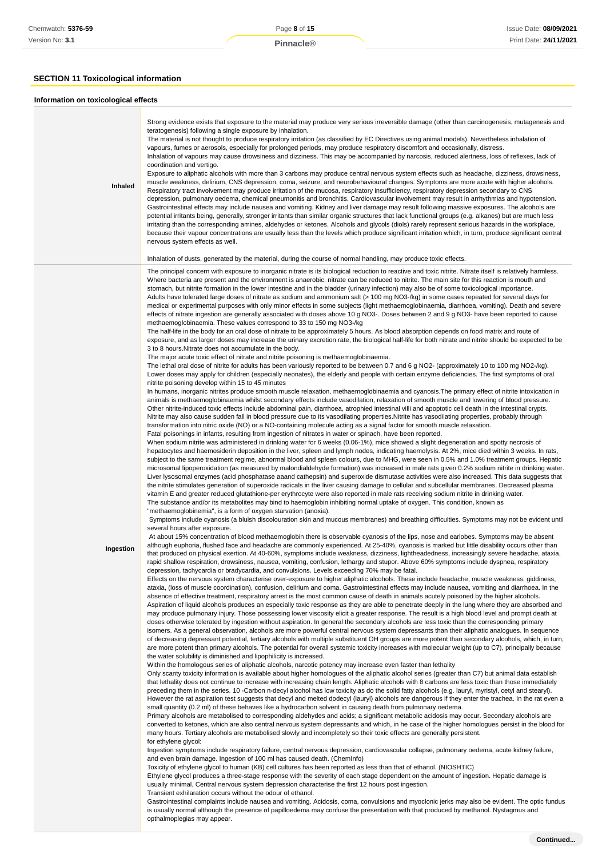### **SECTION 11 Toxicological information**

#### **Information on toxicological effects Inhaled** Strong evidence exists that exposure to the material may produce very serious irreversible damage (other than carcinogenesis, mutagenesis and teratogenesis) following a single exposure by inhalation. The material is not thought to produce respiratory irritation (as classified by EC Directives using animal models). Nevertheless inhalation of vapours, fumes or aerosols, especially for prolonged periods, may produce respiratory discomfort and occasionally, distress. Inhalation of vapours may cause drowsiness and dizziness. This may be accompanied by narcosis, reduced alertness, loss of reflexes, lack of coordination and vertigo. Exposure to aliphatic alcohols with more than 3 carbons may produce central nervous system effects such as headache, dizziness, drowsiness, muscle weakness, delirium, CNS depression, coma, seizure, and neurobehavioural changes. Symptoms are more acute with higher alcohols. Respiratory tract involvement may produce irritation of the mucosa, respiratory insufficiency, respiratory depression secondary to CNS depression, pulmonary oedema, chemical pneumonitis and bronchitis. Cardiovascular involvement may result in arrhythmias and hypotension. Gastrointestinal effects may include nausea and vomiting. Kidney and liver damage may result following massive exposures. The alcohols are potential irritants being, generally, stronger irritants than similar organic structures that lack functional groups (e.g. alkanes) but are much less irritating than the corresponding amines, aldehydes or ketones. Alcohols and glycols (diols) rarely represent serious hazards in the workplace, because their vapour concentrations are usually less than the levels which produce significant irritation which, in turn, produce significant central nervous system effects as well. Inhalation of dusts, generated by the material, during the course of normal handling, may produce toxic effects. **Ingestion** The principal concern with exposure to inorganic nitrate is its biological reduction to reactive and toxic nitrite. Nitrate itself is relatively harmless. Where bacteria are present and the environment is anaerobic, nitrate can be reduced to nitrite. The main site for this reaction is mouth and stomach, but nitrite formation in the lower intestine and in the bladder (urinary infection) may also be of some toxicological importance. Adults have tolerated large doses of nitrate as sodium and ammonium salt (> 100 mg NO3-/kg) in some cases repeated for several days for medical or experimental purposes with only minor effects in some subjects (light methaemoglobinaemia, diarrhoea, vomiting). Death and severe effects of nitrate ingestion are generally associated with doses above 10 g NO3-. Doses between 2 and 9 g NO3- have been reported to cause methaemoglobinaemia. These values correspond to 33 to 150 mg NO3-/kg The half-life in the body for an oral dose of nitrate to be approximately 5 hours. As blood absorption depends on food matrix and route of exposure, and as larger doses may increase the urinary excretion rate, the biological half-life for both nitrate and nitrite should be expected to be 3 to 8 hours.Nitrate does not accumulate in the body. The major acute toxic effect of nitrate and nitrite poisoning is methaemoglobinaemia. The lethal oral dose of nitrite for adults has been variously reported to be between 0.7 and 6 g NO2- (approximately 10 to 100 mg NO2-/kg). Lower doses may apply for children (especially neonates), the elderly and people with certain enzyme deficiencies. The first symptoms of oral nitrite poisoning develop within 15 to 45 minutes In humans, inorganic nitrites produce smooth muscle relaxation, methaemoglobinaemia and cyanosis.The primary effect of nitrite intoxication in animals is methaemoglobinaemia whilst secondary effects include vasodilation, relaxation of smooth muscle and lowering of blood pressure. Other nitrite-induced toxic effects include abdominal pain, diarrhoea, atrophied intestinal villi and apoptotic cell death in the intestinal crypts. Nitrite may also cause sudden fall in blood pressure due to its vasodilating properties.Nitrite has vasodilating properties, probably through transformation into nitric oxide (NO) or a NO-containing molecule acting as a signal factor for smooth muscle relaxation. Fatal poisonings in infants, resulting from ingestion of nitrates in water or spinach, have been reported. When sodium nitrite was administered in drinking water for 6 weeks (0.06-1%), mice showed a slight degeneration and spotty necrosis of hepatocytes and haemosiderin deposition in the liver, spleen and lymph nodes, indicating haemolysis. At 2%, mice died within 3 weeks. In rats, subject to the same treatment regime, abnormal blood and spleen colours, due to MHG, were seen in 0.5% and 1.0% treatment groups. Hepatic microsomal lipoperoxidation (as measured by malondialdehyde formation) was increased in male rats given 0.2% sodium nitrite in drinking water. Liver lysosomal enzymes (acid phosphatase aaand cathepsin) and superoxide dismutase activities were also increased. This data suggests that the nitrite stimulates generation of superoxide radicals in the liver causing damage to cellular and subcellular membranes. Decreased plasma vitamin E and greater reduced glutathione-per erythrocyte were also reported in male rats receiving sodium nitrite in drinking water. The substance and/or its metabolites may bind to haemoglobin inhibiting normal uptake of oxygen. This condition, known as "methaemoglobinemia", is a form of oxygen starvation (anoxia). Symptoms include cyanosis (a bluish discolouration skin and mucous membranes) and breathing difficulties. Symptoms may not be evident until several hours after exposure. At about 15% concentration of blood methaemoglobin there is observable cyanosis of the lips, nose and earlobes. Symptoms may be absent although euphoria, flushed face and headache are commonly experienced. At 25-40%, cyanosis is marked but little disability occurs other than that produced on physical exertion. At 40-60%, symptoms include weakness, dizziness, lightheadedness, increasingly severe headache, ataxia, rapid shallow respiration, drowsiness, nausea, vomiting, confusion, lethargy and stupor. Above 60% symptoms include dyspnea, respiratory depression, tachycardia or bradycardia, and convulsions. Levels exceeding 70% may be fatal. Effects on the nervous system characterise over-exposure to higher aliphatic alcohols. These include headache, muscle weakness, giddiness, ataxia, (loss of muscle coordination), confusion, delirium and coma. Gastrointestinal effects may include nausea, vomiting and diarrhoea. In the absence of effective treatment, respiratory arrest is the most common cause of death in animals acutely poisoned by the higher alcohols. Aspiration of liquid alcohols produces an especially toxic response as they are able to penetrate deeply in the lung where they are absorbed and may produce pulmonary injury. Those possessing lower viscosity elicit a greater response. The result is a high blood level and prompt death at doses otherwise tolerated by ingestion without aspiration. In general the secondary alcohols are less toxic than the corresponding primary isomers. As a general observation, alcohols are more powerful central nervous system depressants than their aliphatic analogues. In sequence of decreasing depressant potential, tertiary alcohols with multiple substituent OH groups are more potent than secondary alcohols, which, in turn, are more potent than primary alcohols. The potential for overall systemic toxicity increases with molecular weight (up to C7), principally because the water solubility is diminished and lipophilicity is increased. Within the homologous series of aliphatic alcohols, narcotic potency may increase even faster than lethality Only scanty toxicity information is available about higher homologues of the aliphatic alcohol series (greater than C7) but animal data establish that lethality does not continue to increase with increasing chain length. Aliphatic alcohols with 8 carbons are less toxic than those immediately preceding them in the series. 10 -Carbon n-decyl alcohol has low toxicity as do the solid fatty alcohols (e.g. lauryl, myristyl, cetyl and stearyl). However the rat aspiration test suggests that decyl and melted dodecyl (lauryl) alcohols are dangerous if they enter the trachea. In the rat even a small quantity (0.2 ml) of these behaves like a hydrocarbon solvent in causing death from pulmonary oedema. Primary alcohols are metabolised to corresponding aldehydes and acids; a significant metabolic acidosis may occur. Secondary alcohols are converted to ketones, which are also central nervous system depressants and which, in he case of the higher homologues persist in the blood for many hours. Tertiary alcohols are metabolised slowly and incompletely so their toxic effects are generally persistent. for ethylene glycol: Ingestion symptoms include respiratory failure, central nervous depression, cardiovascular collapse, pulmonary oedema, acute kidney failure, and even brain damage. Ingestion of 100 ml has caused death. (ChemInfo) Toxicity of ethylene glycol to human (KB) cell cultures has been reported as less than that of ethanol. (NIOSHTIC) Ethylene glycol produces a three-stage response with the severity of each stage dependent on the amount of ingestion. Hepatic damage is usually minimal. Central nervous system depression characterise the first 12 hours post ingestion. Transient exhilaration occurs without the odour of ethanol.

Gastrointestinal complaints include nausea and vomiting. Acidosis, coma, convulsions and myoclonic jerks may also be evident. The optic fundus is usually normal although the presence of papilloedema may confuse the presentation with that produced by methanol. Nystagmus and opthalmoplegias may appear.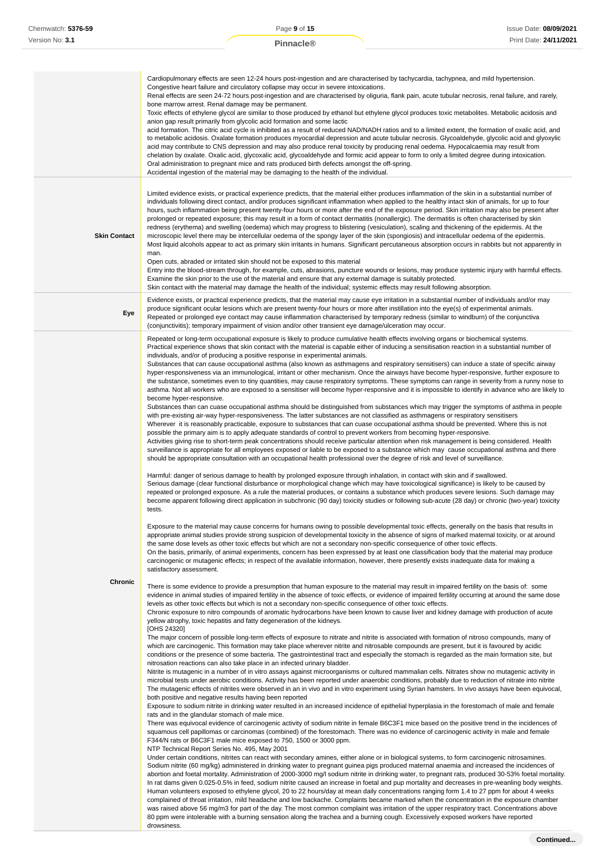|                     | Cardiopulmonary effects are seen 12-24 hours post-ingestion and are characterised by tachycardia, tachypnea, and mild hypertension.<br>Congestive heart failure and circulatory collapse may occur in severe intoxications.<br>Renal effects are seen 24-72 hours post-ingestion and are characterised by oliguria, flank pain, acute tubular necrosis, renal failure, and rarely,<br>bone marrow arrest. Renal damage may be permanent.<br>Toxic effects of ethylene glycol are similar to those produced by ethanol but ethylene glycol produces toxic metabolites. Metabolic acidosis and<br>anion gap result primarily from glycolic acid formation and some lactic<br>acid formation. The citric acid cycle is inhibited as a result of reduced NAD/NADH ratios and to a limited extent, the formation of oxalic acid, and<br>to metabolic acidosis. Oxalate formation produces myocardial depression and acute tubular necrosis. Glycoaldehyde, glycolic acid and glyoxylic<br>acid may contribute to CNS depression and may also produce renal toxicity by producing renal oedema. Hypocalcaemia may result from<br>chelation by oxalate. Oxalic acid, glycoxalic acid, glycoaldehyde and formic acid appear to form to only a limited degree during intoxication.<br>Oral administration to pregnant mice and rats produced birth defects amongst the off-spring.<br>Accidental ingestion of the material may be damaging to the health of the individual.                                                                                                                                                                                                                                                                                                                                                                                                                                                                                                                                                                                                                                                                                                                                                                                                                                                                                                                                                                                                                                                                                                                                                                                                                                                                                                                                                                                                                                                                                                                                                                                                                                                                                                                                                                                                                                                                                                                                                                                                                                                                                                                                                                                                                                                                                                                                                                                                                                                                                                                                                                                                                                                                                                                                                                                                                                                                                                                                                                                                                                                                                                                                                                                                                                                                                                                                                                                                                                                                                                                                                                                                                                                                                                                                                                                                                                                                                                                                                                                                                                                                                                                                                                                                                                                                                                                                                                                                                                                                                                                                                                                                                                                                                                                                                                                                                                                                                                                                                                                                                                                                                                                                                                                                                                                                                                                                                                                                                          |
|---------------------|---------------------------------------------------------------------------------------------------------------------------------------------------------------------------------------------------------------------------------------------------------------------------------------------------------------------------------------------------------------------------------------------------------------------------------------------------------------------------------------------------------------------------------------------------------------------------------------------------------------------------------------------------------------------------------------------------------------------------------------------------------------------------------------------------------------------------------------------------------------------------------------------------------------------------------------------------------------------------------------------------------------------------------------------------------------------------------------------------------------------------------------------------------------------------------------------------------------------------------------------------------------------------------------------------------------------------------------------------------------------------------------------------------------------------------------------------------------------------------------------------------------------------------------------------------------------------------------------------------------------------------------------------------------------------------------------------------------------------------------------------------------------------------------------------------------------------------------------------------------------------------------------------------------------------------------------------------------------------------------------------------------------------------------------------------------------------------------------------------------------------------------------------------------------------------------------------------------------------------------------------------------------------------------------------------------------------------------------------------------------------------------------------------------------------------------------------------------------------------------------------------------------------------------------------------------------------------------------------------------------------------------------------------------------------------------------------------------------------------------------------------------------------------------------------------------------------------------------------------------------------------------------------------------------------------------------------------------------------------------------------------------------------------------------------------------------------------------------------------------------------------------------------------------------------------------------------------------------------------------------------------------------------------------------------------------------------------------------------------------------------------------------------------------------------------------------------------------------------------------------------------------------------------------------------------------------------------------------------------------------------------------------------------------------------------------------------------------------------------------------------------------------------------------------------------------------------------------------------------------------------------------------------------------------------------------------------------------------------------------------------------------------------------------------------------------------------------------------------------------------------------------------------------------------------------------------------------------------------------------------------------------------------------------------------------------------------------------------------------------------------------------------------------------------------------------------------------------------------------------------------------------------------------------------------------------------------------------------------------------------------------------------------------------------------------------------------------------------------------------------------------------------------------------------------------------------------------------------------------------------------------------------------------------------------------------------------------------------------------------------------------------------------------------------------------------------------------------------------------------------------------------------------------------------------------------------------------------------------------------------------------------------------------------------------------------------------------------------------------------------------------------------------------------------------------------------------------------------------------------------------------------------------------------------------------------------------------------------------------------------------------------------------------------------------------------------------------------------------------------------------------------------------------------------------------------------------------------------------------------------------------------------------------------------------------------------------------------------------------------------------------------------------------------------------------------------------------------------------------------------------------------------------------------------------------------------------------------------------------------------------------------------------------------------------------------------------------------------------------------------------------------------------------------------------------------------------------------------------------------------------------------------------------------------------------------------------------------------------------------------------------------------------------------------------------------------------------------------------------------------------------------------------------------------------------------------------------------------------------------------------------------------|
| <b>Skin Contact</b> | Limited evidence exists, or practical experience predicts, that the material either produces inflammation of the skin in a substantial number of<br>individuals following direct contact, and/or produces significant inflammation when applied to the healthy intact skin of animals, for up to four<br>hours, such inflammation being present twenty-four hours or more after the end of the exposure period. Skin irritation may also be present after<br>prolonged or repeated exposure; this may result in a form of contact dermatitis (nonallergic). The dermatitis is often characterised by skin<br>redness (erythema) and swelling (oedema) which may progress to blistering (vesiculation), scaling and thickening of the epidermis. At the<br>microscopic level there may be intercellular oedema of the spongy layer of the skin (spongiosis) and intracellular oedema of the epidermis.<br>Most liquid alcohols appear to act as primary skin irritants in humans. Significant percutaneous absorption occurs in rabbits but not apparently in<br>man.<br>Open cuts, abraded or irritated skin should not be exposed to this material<br>Entry into the blood-stream through, for example, cuts, abrasions, puncture wounds or lesions, may produce systemic injury with harmful effects.<br>Examine the skin prior to the use of the material and ensure that any external damage is suitably protected.<br>Skin contact with the material may damage the health of the individual; systemic effects may result following absorption.                                                                                                                                                                                                                                                                                                                                                                                                                                                                                                                                                                                                                                                                                                                                                                                                                                                                                                                                                                                                                                                                                                                                                                                                                                                                                                                                                                                                                                                                                                                                                                                                                                                                                                                                                                                                                                                                                                                                                                                                                                                                                                                                                                                                                                                                                                                                                                                                                                                                                                                                                                                                                                                                                                                                                                                                                                                                                                                                                                                                                                                                                                                                                                                                                                                                                                                                                                                                                                                                                                                                                                                                                                                                                                                                                                                                                                                                                                                                                                                                                                                                                                                                                                                                                                                                                                                                                                                                                                                                                                                                                                                                                                                                                                                                                                                                                                                                                                                                                                                                                                                                                                                                                                                                                                                                                                                                        |
| Eye                 | Evidence exists, or practical experience predicts, that the material may cause eye irritation in a substantial number of individuals and/or may<br>produce significant ocular lesions which are present twenty-four hours or more after instillation into the eye(s) of experimental animals.<br>Repeated or prolonged eye contact may cause inflammation characterised by temporary redness (similar to windburn) of the conjunctiva<br>(conjunctivitis); temporary impairment of vision and/or other transient eye damage/ulceration may occur.                                                                                                                                                                                                                                                                                                                                                                                                                                                                                                                                                                                                                                                                                                                                                                                                                                                                                                                                                                                                                                                                                                                                                                                                                                                                                                                                                                                                                                                                                                                                                                                                                                                                                                                                                                                                                                                                                                                                                                                                                                                                                                                                                                                                                                                                                                                                                                                                                                                                                                                                                                                                                                                                                                                                                                                                                                                                                                                                                                                                                                                                                                                                                                                                                                                                                                                                                                                                                                                                                                                                                                                                                                                                                                                                                                                                                                                                                                                                                                                                                                                                                                                                                                                                                                                                                                                                                                                                                                                                                                                                                                                                                                                                                                                                                                                                                                                                                                                                                                                                                                                                                                                                                                                                                                                                                                                                                                                                                                                                                                                                                                                                                                                                                                                                                                                                                                                                                                                                                                                                                                                                                                                                                                                                                                                                                                                                           |
| Chronic             | Repeated or long-term occupational exposure is likely to produce cumulative health effects involving organs or biochemical systems.<br>Practical experience shows that skin contact with the material is capable either of inducing a sensitisation reaction in a substantial number of<br>individuals, and/or of producing a positive response in experimental animals.<br>Substances that can cause occupational asthma (also known as asthmagens and respiratory sensitisers) can induce a state of specific airway<br>hyper-responsiveness via an immunological, irritant or other mechanism. Once the airways have become hyper-responsive, further exposure to<br>the substance, sometimes even to tiny quantities, may cause respiratory symptoms. These symptoms can range in severity from a runny nose to<br>asthma. Not all workers who are exposed to a sensitiser will become hyper-responsive and it is impossible to identify in advance who are likely to<br>become hyper-responsive.<br>Substances than can cuase occupational asthma should be distinguished from substances which may trigger the symptoms of asthma in people<br>with pre-existing air-way hyper-responsiveness. The latter substances are not classified as asthmagens or respiratory sensitisers<br>Wherever it is reasonably practicable, exposure to substances that can cuase occupational asthma should be prevented. Where this is not<br>possible the primary aim is to apply adequate standards of control to prevent workers from becoming hyper-responsive.<br>Activities giving rise to short-term peak concentrations should receive particular attention when risk management is being considered. Health<br>surveillance is appropriate for all employees exposed or liable to be exposed to a substance which may cause occupational asthma and there<br>should be appropriate consultation with an occupational health professional over the degree of risk and level of surveillance.<br>Harmful: danger of serious damage to health by prolonged exposure through inhalation, in contact with skin and if swallowed.<br>Serious damage (clear functional disturbance or morphological change which may have toxicological significance) is likely to be caused by<br>repeated or prolonged exposure. As a rule the material produces, or contains a substance which produces severe lesions. Such damage may<br>become apparent following direct application in subchronic (90 day) toxicity studies or following sub-acute (28 day) or chronic (two-year) toxicity<br>tests.<br>Exposure to the material may cause concerns for humans owing to possible developmental toxic effects, generally on the basis that results in<br>appropriate animal studies provide strong suspicion of developmental toxicity in the absence of signs of marked maternal toxicity, or at around<br>the same dose levels as other toxic effects but which are not a secondary non-specific consequence of other toxic effects.<br>On the basis, primarily, of animal experiments, concern has been expressed by at least one classification body that the material may produce<br>carcinogenic or mutagenic effects; in respect of the available information, however, there presently exists inadequate data for making a<br>satisfactory assessment.<br>There is some evidence to provide a presumption that human exposure to the material may result in impaired fertility on the basis of: some<br>evidence in animal studies of impaired fertility in the absence of toxic effects, or evidence of impaired fertility occurring at around the same dose<br>levels as other toxic effects but which is not a secondary non-specific consequence of other toxic effects.<br>Chronic exposure to nitro compounds of aromatic hydrocarbons have been known to cause liver and kidney damage with production of acute<br>yellow atrophy, toxic hepatitis and fatty degeneration of the kidneys.<br>[OHS 24320]<br>The major concern of possible long-term effects of exposure to nitrate and nitrite is associated with formation of nitroso compounds, many of<br>which are carcinogenic. This formation may take place wherever nitrite and nitrosable compounds are present, but it is favoured by acidic<br>conditions or the presence of some bacteria. The gastrointestinal tract and especially the stomach is regarded as the main formation site, but<br>nitrosation reactions can also take place in an infected urinary bladder.<br>Nitrite is mutagenic in a number of in vitro assays against microorganisms or cultured mammalian cells. Nitrates show no mutagenic activity in<br>microbial tests under aerobic conditions. Activity has been reported under anaerobic conditions, probably due to reduction of nitrate into nitrite<br>The mutagenic effects of nitrites were observed in an in vivo and in vitro experiment using Syrian hamsters. In vivo assays have been equivocal,<br>both positive and negative results having been reported<br>Exposure to sodium nitrite in drinking water resulted in an increased incidence of epithelial hyperplasia in the forestomach of male and female<br>rats and in the glandular stomach of male mice.<br>There was equivocal evidence of carcinogenic activity of sodium nitrite in female B6C3F1 mice based on the positive trend in the incidences of<br>squamous cell papillomas or carcinomas (combined) of the forestomach. There was no evidence of carcinogenic activity in male and female<br>F344/N rats or B6C3F1 male mice exposed to 750, 1500 or 3000 ppm.<br>NTP Technical Report Series No. 495, May 2001<br>Under certain conditions, nitrites can react with secondary amines, either alone or in biological systems, to form carcinogenic nitrosamines.<br>Sodium nitrite (60 mg/kg) administered in drinking water to pregnant guinea pigs produced maternal anaemia and increased the incidences of<br>abortion and foetal mortality. Administration of 2000-3000 mg/l sodium nitrite in drinking water, to pregnant rats, produced 30-53% foetal mortality.<br>In rat dams given 0.025-0.5% in feed, sodium nitrite caused an increase in foetal and pup mortality and decreases in pre-weanling body weights.<br>Human volunteers exposed to ethylene glycol, 20 to 22 hours/day at mean daily concentrations ranging form 1.4 to 27 ppm for about 4 weeks<br>complained of throat irritation, mild headache and low backache. Complaints became marked when the concentration in the exposure chamber<br>was raised above 56 mg/m3 for part of the day. The most common complaint was irritation of the upper respiratory tract. Concentrations above<br>80 ppm were intolerable with a burning sensation along the trachea and a burning cough. Excessively exposed workers have reported<br>drowsiness. |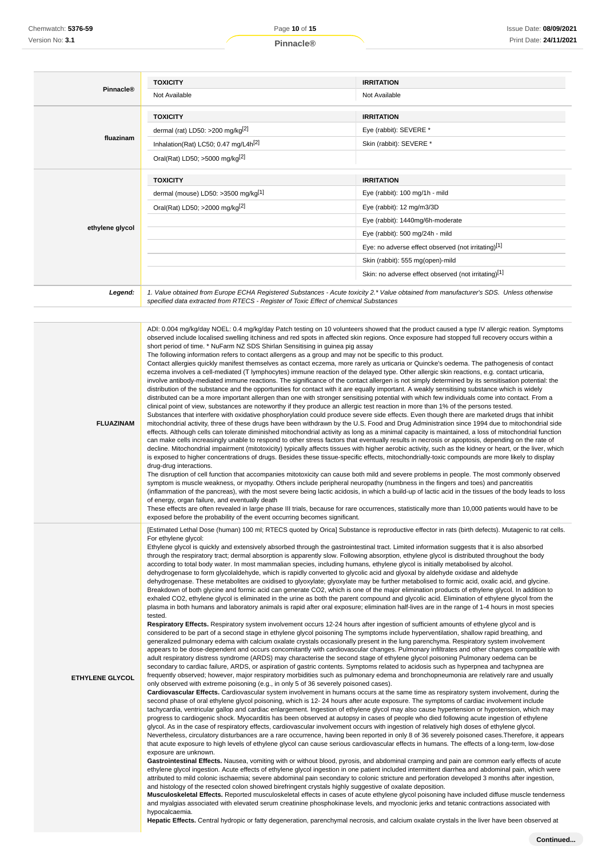| Pinnacle®       | <b>TOXICITY</b>                                                                                                                                                                                                                                                                                                                                                                                                                                                                                                                                                                                                                          | <b>IRRITATION</b>                                    |
|-----------------|------------------------------------------------------------------------------------------------------------------------------------------------------------------------------------------------------------------------------------------------------------------------------------------------------------------------------------------------------------------------------------------------------------------------------------------------------------------------------------------------------------------------------------------------------------------------------------------------------------------------------------------|------------------------------------------------------|
|                 | Not Available                                                                                                                                                                                                                                                                                                                                                                                                                                                                                                                                                                                                                            | Not Available                                        |
|                 | <b>TOXICITY</b>                                                                                                                                                                                                                                                                                                                                                                                                                                                                                                                                                                                                                          | <b>IRRITATION</b>                                    |
|                 | dermal (rat) LD50: >200 mg/kg $[2]$                                                                                                                                                                                                                                                                                                                                                                                                                                                                                                                                                                                                      | Eye (rabbit): SEVERE *                               |
| fluazinam       | Inhalation(Rat) LC50; 0.47 mg/L4h <sup>[2]</sup>                                                                                                                                                                                                                                                                                                                                                                                                                                                                                                                                                                                         | Skin (rabbit): SEVERE *                              |
|                 | Oral(Rat) LD50; >5000 mg/kg <sup>[2]</sup>                                                                                                                                                                                                                                                                                                                                                                                                                                                                                                                                                                                               |                                                      |
|                 | <b>TOXICITY</b>                                                                                                                                                                                                                                                                                                                                                                                                                                                                                                                                                                                                                          | <b>IRRITATION</b>                                    |
|                 | dermal (mouse) LD50: >3500 mg/kg[1]                                                                                                                                                                                                                                                                                                                                                                                                                                                                                                                                                                                                      | Eye (rabbit): 100 mg/1h - mild                       |
|                 | Oral(Rat) LD50; >2000 mg/kg <sup>[2]</sup>                                                                                                                                                                                                                                                                                                                                                                                                                                                                                                                                                                                               | Eye (rabbit): $12 \text{ ma/m}3/3D$                  |
|                 |                                                                                                                                                                                                                                                                                                                                                                                                                                                                                                                                                                                                                                          | Eye (rabbit): 1440mg/6h-moderate                     |
| ethylene glycol |                                                                                                                                                                                                                                                                                                                                                                                                                                                                                                                                                                                                                                          | Eye (rabbit): 500 mg/24h - mild                      |
|                 |                                                                                                                                                                                                                                                                                                                                                                                                                                                                                                                                                                                                                                          | Eye: no adverse effect observed (not irritating)[1]  |
|                 |                                                                                                                                                                                                                                                                                                                                                                                                                                                                                                                                                                                                                                          | Skin (rabbit): 555 mg(open)-mild                     |
|                 |                                                                                                                                                                                                                                                                                                                                                                                                                                                                                                                                                                                                                                          | Skin: no adverse effect observed (not irritating)[1] |
| Legend:         | 1. Value obtained from Europe ECHA Registered Substances - Acute toxicity 2.* Value obtained from manufacturer's SDS. Unless otherwise<br>specified data extracted from RTECS - Register of Toxic Effect of chemical Substances                                                                                                                                                                                                                                                                                                                                                                                                          |                                                      |
|                 |                                                                                                                                                                                                                                                                                                                                                                                                                                                                                                                                                                                                                                          |                                                      |
|                 | ADI: 0.004 mg/kg/day NOEL: 0.4 mg/kg/day Patch testing on 10 volunteers showed that the product caused a type IV allergic reation. Symptoms<br>observed include localised swelling itchiness and red spots in affected skin regions. Once exposure had stopped full recovery occurs within a<br>short period of time. * NuFarm NZ SDS Shirlan Sensitising in quinea pig assay<br>The following information refers to contact allergens as a group and may not be specific to this product.<br>Contact allergies quickly manifest themselves as contact eczema, more rarely as urticaria or Quincke's oedema. The pathogenesis of contact |                                                      |

eczema involves a cell-mediated (T lymphocytes) immune reaction of the delayed type. Other allergic skin reactions, e.g. contact urticaria, involve antibody-mediated immune reactions. The significance of the contact allergen is not simply determined by its sensitisation potential: the distribution of the substance and the opportunities for contact with it are equally important. A weakly sensitising substance which is widely distributed can be a more important allergen than one with stronger sensitising potential with which few individuals come into contact. From a clinical point of view, substances are noteworthy if they produce an allergic test reaction in more than 1% of the persons tested. Substances that interfere with oxidative phosphorylation could produce severe side effects. Even though there are marketed drugs that inhibit

**FLUAZINAM**

**ETHYLENE GLYCOL**

mitochondrial activity, three of these drugs have been withdrawn by the U.S. Food and Drug Administration since 1994 due to mitochondrial side effects. Although cells can tolerate diminished mitochondrial activity as long as a minimal capacity is maintained, a loss of mitochondrial function can make cells increasingly unable to respond to other stress factors that eventually results in necrosis or apoptosis, depending on the rate of decline. Mitochondrial impairment (mitotoxicity) typically affects tissues with higher aerobic activity, such as the kidney or heart, or the liver, which is exposed to higher concentrations of drugs. Besides these tissue-specific effects, mitochondrially-toxic compounds are more likely to display drug-drug interactions. The disruption of cell function that accompanies mitotoxicity can cause both mild and severe problems in people. The most commonly observed

symptom is muscle weakness, or myopathy. Others include peripheral neuropathy (numbness in the fingers and toes) and pancreatitis (inflammation of the pancreas), with the most severe being lactic acidosis, in which a build-up of lactic acid in the tissues of the body leads to loss of energy, organ failure, and eventually death

These effects are often revealed in large phase III trials, because for rare occurrences, statistically more than 10,000 patients would have to be exposed before the probability of the event occurring becomes significant.

[Estimated Lethal Dose (human) 100 ml; RTECS quoted by Orica] Substance is reproductive effector in rats (birth defects). Mutagenic to rat cells. For ethylene glycol:

Ethylene glycol is quickly and extensively absorbed through the gastrointestinal tract. Limited information suggests that it is also absorbed through the respiratory tract; dermal absorption is apparently slow. Following absorption, ethylene glycol is distributed throughout the body according to total body water. In most mammalian species, including humans, ethylene glycol is initially metabolised by alcohol. dehydrogenase to form glycolaldehyde, which is rapidly converted to glycolic acid and glyoxal by aldehyde oxidase and aldehyde dehydrogenase. These metabolites are oxidised to glyoxylate; glyoxylate may be further metabolised to formic acid, oxalic acid, and glycine. Breakdown of both glycine and formic acid can generate CO2, which is one of the major elimination products of ethylene glycol. In addition to exhaled CO2, ethylene glycol is eliminated in the urine as both the parent compound and glycolic acid. Elimination of ethylene glycol from the

plasma in both humans and laboratory animals is rapid after oral exposure; elimination half-lives are in the range of 1-4 hours in most species tested. **Respiratory Effects.** Respiratory system involvement occurs 12-24 hours after ingestion of sufficient amounts of ethylene glycol and is

considered to be part of a second stage in ethylene glycol poisoning The symptoms include hyperventilation, shallow rapid breathing, and generalized pulmonary edema with calcium oxalate crystals occasionally present in the lung parenchyma. Respiratory system involvement appears to be dose-dependent and occurs concomitantly with cardiovascular changes. Pulmonary infiltrates and other changes compatible with adult respiratory distress syndrome (ARDS) may characterise the second stage of ethylene glycol poisoning Pulmonary oedema can be secondary to cardiac failure, ARDS, or aspiration of gastric contents. Symptoms related to acidosis such as hyperpnea and tachypnea are frequently observed; however, major respiratory morbidities such as pulmonary edema and bronchopneumonia are relatively rare and usually only observed with extreme poisoning (e.g., in only 5 of 36 severely poisoned cases).

**Cardiovascular Effects.** Cardiovascular system involvement in humans occurs at the same time as respiratory system involvement, during the second phase of oral ethylene glycol poisoning, which is 12- 24 hours after acute exposure. The symptoms of cardiac involvement include tachycardia, ventricular gallop and cardiac enlargement. Ingestion of ethylene glycol may also cause hypertension or hypotension, which may progress to cardiogenic shock. Myocarditis has been observed at autopsy in cases of people who died following acute ingestion of ethylene glycol. As in the case of respiratory effects, cardiovascular involvement occurs with ingestion of relatively high doses of ethylene glycol. Nevertheless, circulatory disturbances are a rare occurrence, having been reported in only 8 of 36 severely poisoned cases.Therefore, it appears that acute exposure to high levels of ethylene glycol can cause serious cardiovascular effects in humans. The effects of a long-term, low-dose exposure are unknown.

**Gastrointestinal Effects.** Nausea, vomiting with or without blood, pyrosis, and abdominal cramping and pain are common early effects of acute ethylene glycol ingestion. Acute effects of ethylene glycol ingestion in one patient included intermittent diarrhea and abdominal pain, which were attributed to mild colonic ischaemia; severe abdominal pain secondary to colonic stricture and perforation developed 3 months after ingestion, and histology of the resected colon showed birefringent crystals highly suggestive of oxalate deposition.

**Musculoskeletal Effects.** Reported musculoskeletal effects in cases of acute ethylene glycol poisoning have included diffuse muscle tenderness and myalgias associated with elevated serum creatinine phosphokinase levels, and myoclonic jerks and tetanic contractions associated with hypocalcaemia.

**Hepatic Effects.** Central hydropic or fatty degeneration, parenchymal necrosis, and calcium oxalate crystals in the liver have been observed at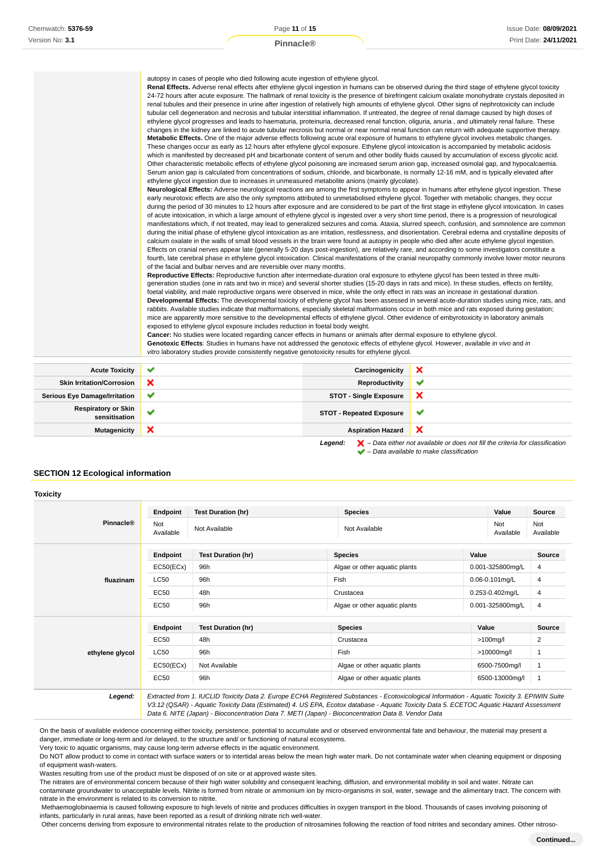| autopsy in cases of people who died following acute ingestion of ethylene glycol. |
|-----------------------------------------------------------------------------------|
|                                                                                   |

**Renal Effects.** Adverse renal effects after ethylene glycol ingestion in humans can be observed during the third stage of ethylene glycol toxicity 24-72 hours after acute exposure. The hallmark of renal toxicity is the presence of birefringent calcium oxalate monohydrate crystals deposited in renal tubules and their presence in urine after ingestion of relatively high amounts of ethylene glycol. Other signs of nephrotoxicity can include tubular cell degeneration and necrosis and tubular interstitial inflammation. If untreated, the degree of renal damage caused by high doses of ethylene glycol progresses and leads to haematuria, proteinuria, decreased renal function, oliguria, anuria , and ultimately renal failure. These changes in the kidney are linked to acute tubular necrosis but normal or near normal renal function can return with adequate supportive therapy. **Metabolic Effects.** One of the major adverse effects following acute oral exposure of humans to ethylene glycol involves metabolic changes. These changes occur as early as 12 hours after ethylene glycol exposure. Ethylene glycol intoxication is accompanied by metabolic acidosis which is manifested by decreased pH and bicarbonate content of serum and other bodily fluids caused by accumulation of excess glycolic acid. Other characteristic metabolic effects of ethylene glycol poisoning are increased serum anion gap, increased osmolal gap, and hypocalcaemia. Serum anion gap is calculated from concentrations of sodium, chloride, and bicarbonate, is normally 12-16 mM, and is typically elevated after ethylene glycol ingestion due to increases in unmeasured metabolite anions (mainly glycolate). **Neurological Effects:** Adverse neurological reactions are among the first symptoms to appear in humans after ethylene glycol ingestion. These early neurotoxic effects are also the only symptoms attributed to unmetabolised ethylene glycol. Together with metabolic changes, they occur during the period of 30 minutes to 12 hours after exposure and are considered to be part of the first stage in ethylene glycol intoxication. In cases of acute intoxication, in which a large amount of ethylene glycol is ingested over a very short time period, there is a progression of neurological

manifestations which, if not treated, may lead to generalized seizures and coma. Ataxia, slurred speech, confusion, and somnolence are common during the initial phase of ethylene glycol intoxication as are irritation, restlessness, and disorientation. Cerebral edema and crystalline deposits of calcium oxalate in the walls of small blood vessels in the brain were found at autopsy in people who died after acute ethylene glycol ingestion. Effects on cranial nerves appear late (generally 5-20 days post-ingestion), are relatively rare, and according to some investigators constitute a fourth, late cerebral phase in ethylene glycol intoxication. Clinical manifestations of the cranial neuropathy commonly involve lower motor neurons of the facial and bulbar nerves and are reversible over many months.

**Reproductive Effects:** Reproductive function after intermediate-duration oral exposure to ethylene glycol has been tested in three multigeneration studies (one in rats and two in mice) and several shorter studies (15-20 days in rats and mice). In these studies, effects on fertility, foetal viability, and male reproductive organs were observed in mice, while the only effect in rats was an increase in gestational duration. **Developmental Effects:** The developmental toxicity of ethylene glycol has been assessed in several acute-duration studies using mice, rats, and rabbits. Available studies indicate that malformations, especially skeletal malformations occur in both mice and rats exposed during gestation; mice are apparently more sensitive to the developmental effects of ethylene glycol. Other evidence of embyrotoxicity in laboratory animals exposed to ethylene glycol exposure includes reduction in foetal body weight.

**Cancer:** No studies were located regarding cancer effects in humans or animals after dermal exposure to ethylene glycol.

Genotoxic Effects: Studies in humans have not addressed the genotoxic effects of ethylene glycol. However, available in vivo and in vitro laboratory studies provide consistently negative genotoxicity results for ethylene glycol.

| <b>Acute Toxicity</b>                       | v | Carcinogenicity                 |                                                                                             |
|---------------------------------------------|---|---------------------------------|---------------------------------------------------------------------------------------------|
| <b>Skin Irritation/Corrosion</b>            | × | Reproductivity                  | $\checkmark$                                                                                |
| <b>Serious Eye Damage/Irritation</b>        | v | <b>STOT - Single Exposure</b>   | ж                                                                                           |
| <b>Respiratory or Skin</b><br>sensitisation |   | <b>STOT - Repeated Exposure</b> |                                                                                             |
| <b>Mutagenicity</b>                         | × | <b>Aspiration Hazard</b>        | ж                                                                                           |
|                                             |   | Leaend:                         | $\blacksquare$ – Data either not available or does not fill the criteria for classification |

 $\blacktriangleright$  – Data available to make classification

# **SECTION 12 Ecological information**

|                  | Endpoint         | <b>Test Duration (hr)</b> | <b>Species</b>                                                                                                                                                                                                                                                                           | Value               | Source           |
|------------------|------------------|---------------------------|------------------------------------------------------------------------------------------------------------------------------------------------------------------------------------------------------------------------------------------------------------------------------------------|---------------------|------------------|
| <b>Pinnacle®</b> | Not<br>Available | Not Available             | Not Available                                                                                                                                                                                                                                                                            | Not<br>Available    | Not<br>Available |
|                  | Endpoint         | <b>Test Duration (hr)</b> | <b>Species</b>                                                                                                                                                                                                                                                                           | Value               | Source           |
|                  | EC50(ECx)        | 96h                       | Algae or other aguatic plants                                                                                                                                                                                                                                                            | 0.001-325800mg/L    | 4                |
| fluazinam        | LC50             | 96h                       | Fish                                                                                                                                                                                                                                                                                     | $0.06 - 0.101$ mg/L | 4                |
|                  | EC50             | 48h                       | Crustacea                                                                                                                                                                                                                                                                                | 0.253-0.402mg/L     | 4                |
|                  | <b>EC50</b>      | 96h                       | Algae or other aquatic plants                                                                                                                                                                                                                                                            | 0.001-325800mg/L    | 4                |
|                  | Endpoint         | <b>Test Duration (hr)</b> | <b>Species</b>                                                                                                                                                                                                                                                                           | Value               | <b>Source</b>    |
|                  | <b>EC50</b>      | 48h                       | Crustacea                                                                                                                                                                                                                                                                                | $>100$ mg/l         | 2                |
| ethylene glycol  | LC50             | 96h                       | Fish                                                                                                                                                                                                                                                                                     | >10000mg/l          | 1                |
|                  | EC50(ECx)        | Not Available             | Algae or other aquatic plants                                                                                                                                                                                                                                                            | 6500-7500mg/l       | 1                |
|                  | <b>EC50</b>      | 96h                       | Algae or other aquatic plants                                                                                                                                                                                                                                                            | 6500-13000mg/l      | $\mathbf{1}$     |
| Legend:          |                  |                           | Extracted from 1. IUCLID Toxicity Data 2. Europe ECHA Registered Substances - Ecotoxicological Information - Aquatic Toxicity 3. EPIWIN Suite<br>V3.12 (QSAR) - Aquatic Toxicity Data (Estimated) 4. US EPA, Ecotox database - Aquatic Toxicity Data 5. ECETOC Aquatic Hazard Assessment |                     |                  |

Data 6. NITE (Japan) - Bioconcentration Data 7. METI (Japan) - Bioconcentration Data 8. Vendor Data

On the basis of available evidence concerning either toxicity, persistence, potential to accumulate and or observed environmental fate and behaviour, the material may present a danger, immediate or long-term and /or delayed, to the structure and/ or functioning of natural ecosystems.

Very toxic to aquatic organisms, may cause long-term adverse effects in the aquatic environment.

Do NOT allow product to come in contact with surface waters or to intertidal areas below the mean high water mark. Do not contaminate water when cleaning equipment or disposing of equipment wash-waters.

Wastes resulting from use of the product must be disposed of on site or at approved waste sites.

The nitrates are of environmental concern because of their high water solubility and consequent leaching, diffusion, and environmental mobility in soil and water. Nitrate can contaminate groundwater to unacceptable levels. Nitrite is formed from nitrate or ammonium ion by micro-organisms in soil, water, sewage and the alimentary tract. The concern with nitrate in the environment is related to its conversion to nitrite.

 Methaemoglobinaemia is caused following exposure to high levels of nitrite and produces difficulties in oxygen transport in the blood. Thousands of cases involving poisoning of infants, particularly in rural areas, have been reported as a result of drinking nitrate rich well-water.

Other concerns deriving from exposure to environmental nitrates relate to the production of nitrosamines following the reaction of food nitrites and secondary amines. Other nitroso-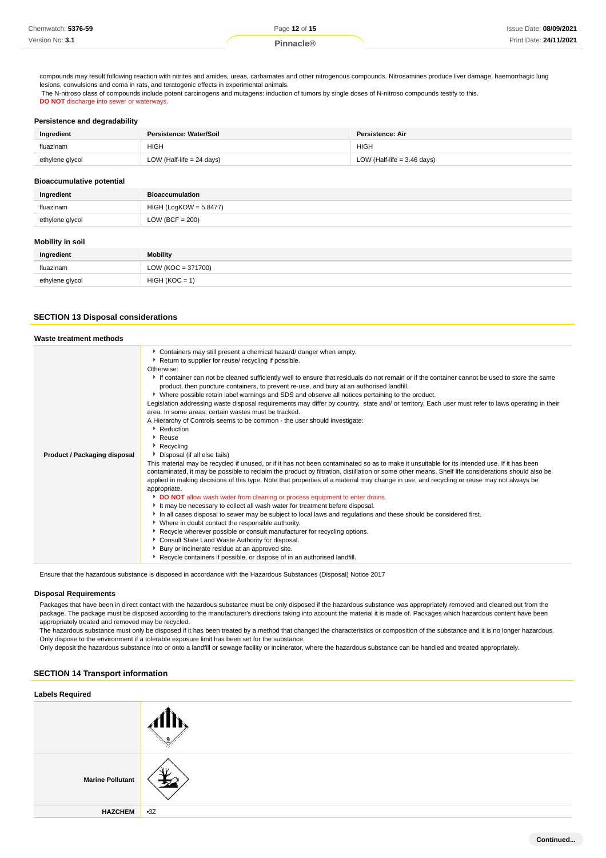| Chemwatch: 5376-59 | Page 12 of 15 | Issue Date: 08/09/2021 |
|--------------------|---------------|------------------------|
| Version No: 3.1    |               | Print Date: 24/11/2021 |

compounds may result following reaction with nitrites and amides, ureas, carbamates and other nitrogenous compounds. Nitrosamines produce liver damage, haemorrhagic lung lesions, convulsions and coma in rats, and teratogenic effects in experimental animals. The N-nitroso class of compounds include potent carcinogens and mutagens: induction of tumors by single doses of N-nitroso compounds testify to this. **DO NOT** discharge into sewer or waterways

**Persistence and degradability**

| Ingredient      | Persistence: Water/Soil     | Persistence: Air              |
|-----------------|-----------------------------|-------------------------------|
| fluazinam       | <b>HIGH</b>                 | <b>HIGH</b>                   |
| ethylene glycol | LOW (Half-life $= 24$ days) | LOW (Half-life $=$ 3.46 days) |

### **Bioaccumulative potential**

| Ingredient                           | <b>Bioaccumulation</b>   |
|--------------------------------------|--------------------------|
| fluazinam                            | $HIGH (LogKOW = 5.8477)$ |
| $LOW (BCF = 200)$<br>ethylene glycol |                          |
| <b>Mobility in soil</b>              |                          |
| Ingredient                           | <b>Mobility</b>          |
| fluazinam                            | $LOW (KOC = 371700)$     |

# **SECTION 13 Disposal considerations**

ethylene glycol HIGH (KOC = 1)

| Waste treatment methods             |                                                                                                                                                                                                                                                                                                                                                                                                                                                                                                                                                                                                                                                                                                                                                                                                                                                                                                                                                                                                                                                                                                                                                                                                                                                                                                                                                                                                                                                                                                                                                                                                                                                                                                                                                                                                                                                                                                                                        |
|-------------------------------------|----------------------------------------------------------------------------------------------------------------------------------------------------------------------------------------------------------------------------------------------------------------------------------------------------------------------------------------------------------------------------------------------------------------------------------------------------------------------------------------------------------------------------------------------------------------------------------------------------------------------------------------------------------------------------------------------------------------------------------------------------------------------------------------------------------------------------------------------------------------------------------------------------------------------------------------------------------------------------------------------------------------------------------------------------------------------------------------------------------------------------------------------------------------------------------------------------------------------------------------------------------------------------------------------------------------------------------------------------------------------------------------------------------------------------------------------------------------------------------------------------------------------------------------------------------------------------------------------------------------------------------------------------------------------------------------------------------------------------------------------------------------------------------------------------------------------------------------------------------------------------------------------------------------------------------------|
| <b>Product / Packaging disposal</b> | Containers may still present a chemical hazard/ danger when empty.<br>Return to supplier for reuse/ recycling if possible.<br>Otherwise:<br>If container can not be cleaned sufficiently well to ensure that residuals do not remain or if the container cannot be used to store the same<br>product, then puncture containers, to prevent re-use, and bury at an authorised landfill.<br>▶ Where possible retain label warnings and SDS and observe all notices pertaining to the product.<br>Legislation addressing waste disposal requirements may differ by country, state and/ or territory. Each user must refer to laws operating in their<br>area. In some areas, certain wastes must be tracked.<br>A Hierarchy of Controls seems to be common - the user should investigate:<br>Reduction<br>Reuse<br>Recycling<br>Disposal (if all else fails)<br>This material may be recycled if unused, or if it has not been contaminated so as to make it unsuitable for its intended use. If it has been<br>contaminated, it may be possible to reclaim the product by filtration, distillation or some other means. Shelf life considerations should also be<br>applied in making decisions of this type. Note that properties of a material may change in use, and recycling or reuse may not always be<br>appropriate.<br>DO NOT allow wash water from cleaning or process equipment to enter drains.<br>It may be necessary to collect all wash water for treatment before disposal.<br>In all cases disposal to sewer may be subject to local laws and regulations and these should be considered first.<br>• Where in doubt contact the responsible authority.<br>▶ Recycle wherever possible or consult manufacturer for recycling options.<br>Consult State Land Waste Authority for disposal.<br>Bury or incinerate residue at an approved site.<br>Recycle containers if possible, or dispose of in an authorised landfill. |

Ensure that the hazardous substance is disposed in accordance with the Hazardous Substances (Disposal) Notice 2017

# **Disposal Requirements**

Packages that have been in direct contact with the hazardous substance must be only disposed if the hazardous substance was appropriately removed and cleaned out from the package. The package must be disposed according to the manufacturer's directions taking into account the material it is made of. Packages which hazardous content have been appropriately treated and removed may be recycled.

The hazardous substance must only be disposed if it has been treated by a method that changed the characteristics or composition of the substance and it is no longer hazardous. Only dispose to the environment if a tolerable exposure limit has been set for the substance.

Only deposit the hazardous substance into or onto a landfill or sewage facility or incinerator, where the hazardous substance can be handled and treated appropriately.

# **SECTION 14 Transport information**

| <b>Labels Required</b>  |              |  |  |
|-------------------------|--------------|--|--|
|                         |              |  |  |
| <b>Marine Pollutant</b> | Yν<br>न्द्र∞ |  |  |
| <b>HAZCHEM</b>          | $-3Z$        |  |  |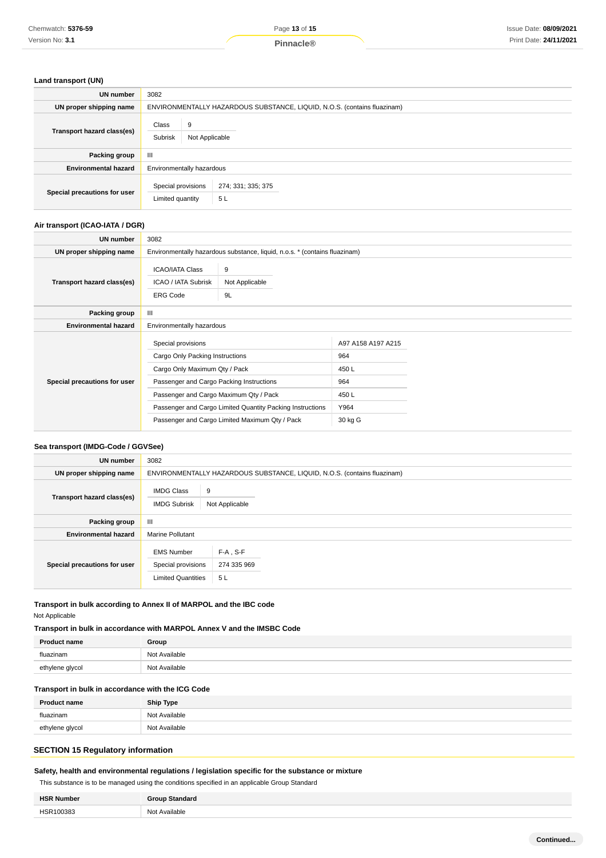# **Land transport (UN)**

| <b>UN number</b>             | 3082                                                                     |                    |  |  |
|------------------------------|--------------------------------------------------------------------------|--------------------|--|--|
| UN proper shipping name      | ENVIRONMENTALLY HAZARDOUS SUBSTANCE, LIQUID, N.O.S. (contains fluazinam) |                    |  |  |
| Transport hazard class(es)   | Class<br>9<br>Subrisk<br>Not Applicable                                  |                    |  |  |
| Packing group                | $\mathbf{III}$                                                           |                    |  |  |
| <b>Environmental hazard</b>  | Environmentally hazardous                                                |                    |  |  |
| Special precautions for user | Special provisions<br>5L<br>Limited quantity                             | 274; 331; 335; 375 |  |  |

# **Air transport (ICAO-IATA / DGR)**

| UN number                    | 3082                                                                                                                                                                         |                                                                                                             |                                                                      |  |
|------------------------------|------------------------------------------------------------------------------------------------------------------------------------------------------------------------------|-------------------------------------------------------------------------------------------------------------|----------------------------------------------------------------------|--|
| UN proper shipping name      | Environmentally hazardous substance, liquid, n.o.s. * (contains fluazinam)                                                                                                   |                                                                                                             |                                                                      |  |
| Transport hazard class(es)   | <b>ICAO/IATA Class</b><br>ICAO / IATA Subrisk<br><b>ERG Code</b>                                                                                                             | 9<br>Not Applicable<br>9L                                                                                   |                                                                      |  |
| Packing group                | Ш                                                                                                                                                                            |                                                                                                             |                                                                      |  |
| <b>Environmental hazard</b>  | Environmentally hazardous                                                                                                                                                    |                                                                                                             |                                                                      |  |
| Special precautions for user | Special provisions<br>Cargo Only Packing Instructions<br>Cargo Only Maximum Qty / Pack<br>Passenger and Cargo Packing Instructions<br>Passenger and Cargo Maximum Qty / Pack | Passenger and Cargo Limited Quantity Packing Instructions<br>Passenger and Cargo Limited Maximum Qty / Pack | A97 A158 A197 A215<br>964<br>450 L<br>964<br>450L<br>Y964<br>30 kg G |  |

# **Sea transport (IMDG-Code / GGVSee)**

| <b>UN number</b>             | 3082                                                                 |                                                                          |  |  |
|------------------------------|----------------------------------------------------------------------|--------------------------------------------------------------------------|--|--|
| UN proper shipping name      |                                                                      | ENVIRONMENTALLY HAZARDOUS SUBSTANCE, LIQUID, N.O.S. (contains fluazinam) |  |  |
| Transport hazard class(es)   | <b>IMDG Class</b><br><b>IMDG Subrisk</b>                             | 9<br>Not Applicable                                                      |  |  |
| <b>Packing group</b>         | Ш                                                                    |                                                                          |  |  |
| <b>Environmental hazard</b>  | <b>Marine Pollutant</b>                                              |                                                                          |  |  |
| Special precautions for user | <b>EMS Number</b><br>Special provisions<br><b>Limited Quantities</b> | $F-A$ , S-F<br>274 335 969<br>5L                                         |  |  |

# **Transport in bulk according to Annex II of MARPOL and the IBC code** Not Applicable

# **Transport in bulk in accordance with MARPOL Annex V and the IMSBC Code**

| <b>Product name</b> | Group         |
|---------------------|---------------|
| fluazinam           | Not Available |
| ethylene glycol     | Not Available |

# **Transport in bulk in accordance with the ICG Code**

| <b>Product name</b> | <b>Ship Type</b> |
|---------------------|------------------|
| fluazinam           | Not Available    |
| ethylene glycol     | Not Available    |

# **SECTION 15 Regulatory information**

# **Safety, health and environmental regulations / legislation specific for the substance or mixture**

This substance is to be managed using the conditions specified in an applicable Group Standard

| <b>HSR Number</b> | Standard<br>iroun |
|-------------------|-------------------|
| HSR100383<br>.    | Not Available     |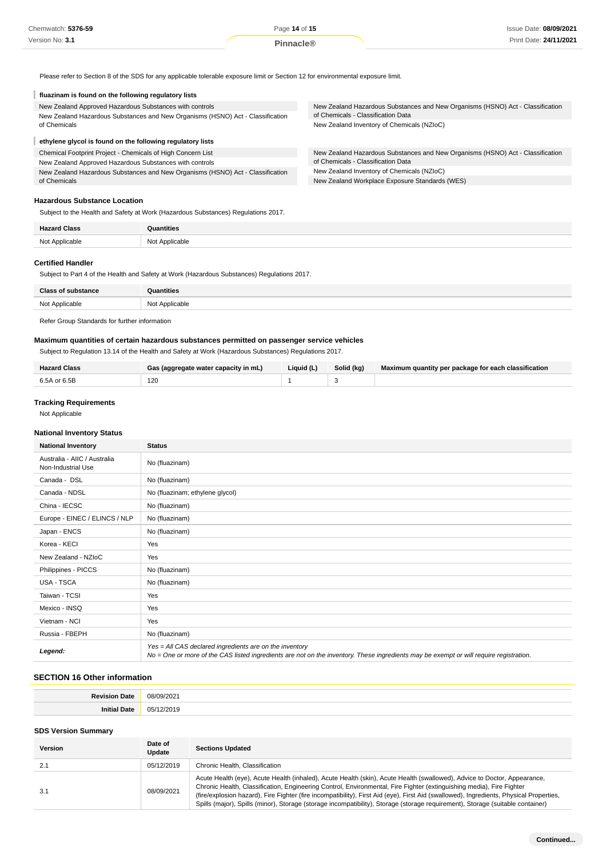Please refer to Section 8 of the SDS for any applicable tolerable exposure limit or Section 12 for environmental exposure limit.

# **fluazinam is found on the following regulatory lists**

| New Zealand Approved Hazardous Substances with controls<br>New Zealand Hazardous Substances and New Organisms (HSNO) Act - Classification | New Zealand Hazardous Substances and New Organisms (HSNO) Act - Classification<br>of Chemicals - Classification Data |  |  |
|-------------------------------------------------------------------------------------------------------------------------------------------|----------------------------------------------------------------------------------------------------------------------|--|--|
| of Chemicals                                                                                                                              | New Zealand Inventory of Chemicals (NZIoC)                                                                           |  |  |
| ethylene glycol is found on the following regulatory lists                                                                                |                                                                                                                      |  |  |
| Chemical Footprint Project - Chemicals of High Concern List                                                                               | New Zealand Hazardous Substances and New Organisms (HSNO) Act - Classification                                       |  |  |
| New Zealand Approved Hazardous Substances with controls                                                                                   | of Chemicals - Classification Data                                                                                   |  |  |
| New Zealand Hazardous Substances and New Organisms (HSNO) Act - Classification                                                            | New Zealand Inventory of Chemicals (NZIoC)                                                                           |  |  |
| of Chemicals                                                                                                                              | New Zealand Workplace Exposure Standards (WES)                                                                       |  |  |

### **Hazardous Substance Location**

Subject to the Health and Safety at Work (Hazardous Substances) Regulations 2017.

| <b>Hazard Class</b> | Quantities     |
|---------------------|----------------|
| Not Applicable      | Not Applicable |

# **Certified Handler**

Subject to Part 4 of the Health and Safety at Work (Hazardous Substances) Regulations 2017.

| <b>Class of substance</b> | Quantities     |
|---------------------------|----------------|
| Not Applicable            | Not Applicable |
| ----<br>.                 |                |

### Refer Group Standards for further information

# **Maximum quantities of certain hazardous substances permitted on passenger service vehicles**

Subject to Regulation 13.14 of the Health and Safety at Work (Hazardous Substances) Regulations 2017.

| <b>Hazard Class</b> | Gas (aggregate water capacity in mL) | Liquid (L) | Solid (kg) | Maximum quantity per package for each classification |
|---------------------|--------------------------------------|------------|------------|------------------------------------------------------|
| 6.5A or 6.5B        | 120                                  |            |            |                                                      |

# **Tracking Requirements**

Not Applicable

# **National Inventory Status**

| <b>National Inventory</b>                          | <b>Status</b>                                                                                                                                                                                     |  |
|----------------------------------------------------|---------------------------------------------------------------------------------------------------------------------------------------------------------------------------------------------------|--|
| Australia - AIIC / Australia<br>Non-Industrial Use | No (fluazinam)                                                                                                                                                                                    |  |
| Canada - DSL                                       | No (fluazinam)                                                                                                                                                                                    |  |
| Canada - NDSL                                      | No (fluazinam; ethylene glycol)                                                                                                                                                                   |  |
| China - IECSC                                      | No (fluazinam)                                                                                                                                                                                    |  |
| Europe - EINEC / ELINCS / NLP                      | No (fluazinam)                                                                                                                                                                                    |  |
| Japan - ENCS                                       | No (fluazinam)                                                                                                                                                                                    |  |
| Korea - KECI                                       | Yes                                                                                                                                                                                               |  |
| New Zealand - NZIoC                                | Yes                                                                                                                                                                                               |  |
| Philippines - PICCS                                | No (fluazinam)                                                                                                                                                                                    |  |
| USA - TSCA                                         | No (fluazinam)                                                                                                                                                                                    |  |
| Taiwan - TCSI                                      | Yes                                                                                                                                                                                               |  |
| Mexico - INSQ                                      | Yes                                                                                                                                                                                               |  |
| Vietnam - NCI                                      | Yes                                                                                                                                                                                               |  |
| Russia - FBEPH                                     | No (fluazinam)                                                                                                                                                                                    |  |
| Legend:                                            | Yes = All CAS declared ingredients are on the inventory<br>No = One or more of the CAS listed ingredients are not on the inventory. These ingredients may be exempt or will require registration. |  |

### **SECTION 16 Other information**

| <b>Doviei</b><br>Jate | 08/09/2021           |
|-----------------------|----------------------|
| at L                  | י 1^^<br>$\sim$<br>. |

### **SDS Version Summary**

| Version | Date of<br>Update | <b>Sections Updated</b>                                                                                                                                                                                                                                                                                                                                                                                                                                                                                                       |
|---------|-------------------|-------------------------------------------------------------------------------------------------------------------------------------------------------------------------------------------------------------------------------------------------------------------------------------------------------------------------------------------------------------------------------------------------------------------------------------------------------------------------------------------------------------------------------|
| 2.1     | 05/12/2019        | Chronic Health, Classification                                                                                                                                                                                                                                                                                                                                                                                                                                                                                                |
| 3.1     | 08/09/2021        | Acute Health (eye), Acute Health (inhaled), Acute Health (skin), Acute Health (swallowed), Advice to Doctor, Appearance,<br>Chronic Health, Classification, Engineering Control, Environmental, Fire Fighter (extinguishing media), Fire Fighter<br>(fire/explosion hazard), Fire Fighter (fire incompatibility), First Aid (eye), First Aid (swallowed), Ingredients, Physical Properties,<br>Spills (major), Spills (minor), Storage (storage incompatibility), Storage (storage requirement), Storage (suitable container) |